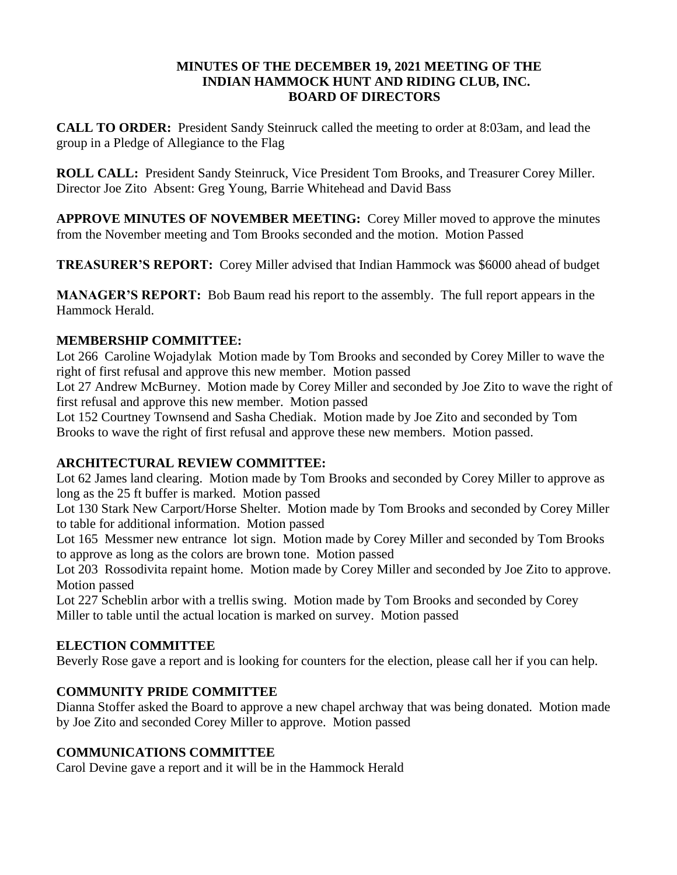#### **MINUTES OF THE DECEMBER 19, 2021 MEETING OF THE INDIAN HAMMOCK HUNT AND RIDING CLUB, INC. BOARD OF DIRECTORS**

**CALL TO ORDER:** President Sandy Steinruck called the meeting to order at 8:03am, and lead the group in a Pledge of Allegiance to the Flag

**ROLL CALL:** President Sandy Steinruck, Vice President Tom Brooks, and Treasurer Corey Miller. Director Joe Zito Absent: Greg Young, Barrie Whitehead and David Bass

**APPROVE MINUTES OF NOVEMBER MEETING:** Corey Miller moved to approve the minutes from the November meeting and Tom Brooks seconded and the motion. Motion Passed

**TREASURER'S REPORT:** Corey Miller advised that Indian Hammock was \$6000 ahead of budget

**MANAGER'S REPORT:** Bob Baum read his report to the assembly. The full report appears in the Hammock Herald.

# **MEMBERSHIP COMMITTEE:**

Lot 266 Caroline Wojadylak Motion made by Tom Brooks and seconded by Corey Miller to wave the right of first refusal and approve this new member. Motion passed

Lot 27 Andrew McBurney. Motion made by Corey Miller and seconded by Joe Zito to wave the right of first refusal and approve this new member. Motion passed

Lot 152 Courtney Townsend and Sasha Chediak. Motion made by Joe Zito and seconded by Tom Brooks to wave the right of first refusal and approve these new members. Motion passed.

## **ARCHITECTURAL REVIEW COMMITTEE:**

Lot 62 James land clearing. Motion made by Tom Brooks and seconded by Corey Miller to approve as long as the 25 ft buffer is marked. Motion passed

Lot 130 Stark New Carport/Horse Shelter. Motion made by Tom Brooks and seconded by Corey Miller to table for additional information. Motion passed

Lot 165 Messmer new entrance lot sign. Motion made by Corey Miller and seconded by Tom Brooks to approve as long as the colors are brown tone. Motion passed

Lot 203 Rossodivita repaint home. Motion made by Corey Miller and seconded by Joe Zito to approve. Motion passed

Lot 227 Scheblin arbor with a trellis swing. Motion made by Tom Brooks and seconded by Corey Miller to table until the actual location is marked on survey. Motion passed

## **ELECTION COMMITTEE**

Beverly Rose gave a report and is looking for counters for the election, please call her if you can help.

# **COMMUNITY PRIDE COMMITTEE**

Dianna Stoffer asked the Board to approve a new chapel archway that was being donated. Motion made by Joe Zito and seconded Corey Miller to approve. Motion passed

# **COMMUNICATIONS COMMITTEE**

Carol Devine gave a report and it will be in the Hammock Herald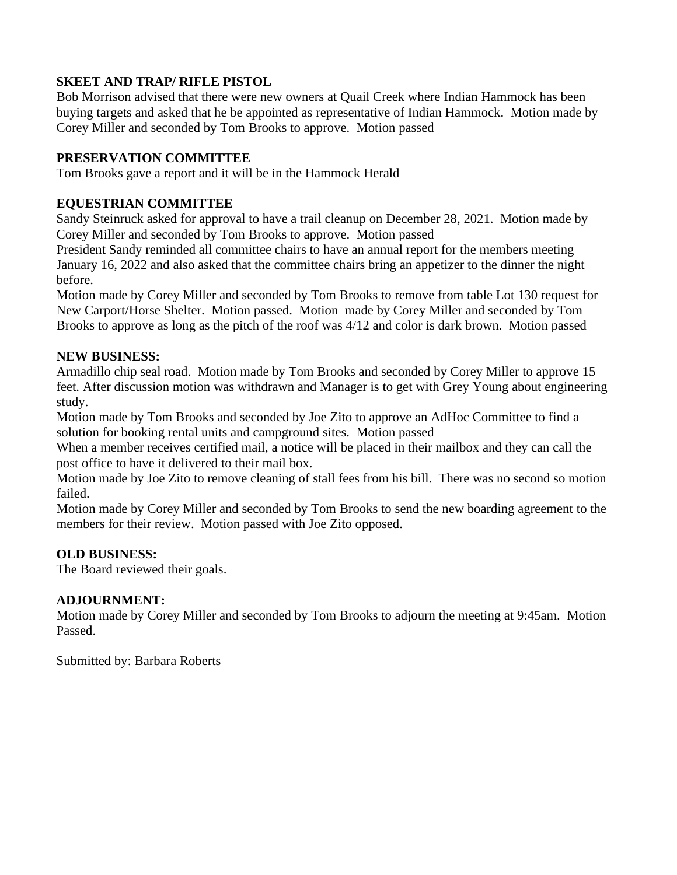## **SKEET AND TRAP/ RIFLE PISTOL**

Bob Morrison advised that there were new owners at Quail Creek where Indian Hammock has been buying targets and asked that he be appointed as representative of Indian Hammock. Motion made by Corey Miller and seconded by Tom Brooks to approve. Motion passed

## **PRESERVATION COMMITTEE**

Tom Brooks gave a report and it will be in the Hammock Herald

## **EQUESTRIAN COMMITTEE**

Sandy Steinruck asked for approval to have a trail cleanup on December 28, 2021. Motion made by Corey Miller and seconded by Tom Brooks to approve. Motion passed

President Sandy reminded all committee chairs to have an annual report for the members meeting January 16, 2022 and also asked that the committee chairs bring an appetizer to the dinner the night before.

Motion made by Corey Miller and seconded by Tom Brooks to remove from table Lot 130 request for New Carport/Horse Shelter. Motion passed. Motion made by Corey Miller and seconded by Tom Brooks to approve as long as the pitch of the roof was 4/12 and color is dark brown. Motion passed

## **NEW BUSINESS:**

Armadillo chip seal road. Motion made by Tom Brooks and seconded by Corey Miller to approve 15 feet. After discussion motion was withdrawn and Manager is to get with Grey Young about engineering study.

Motion made by Tom Brooks and seconded by Joe Zito to approve an AdHoc Committee to find a solution for booking rental units and campground sites. Motion passed

When a member receives certified mail, a notice will be placed in their mailbox and they can call the post office to have it delivered to their mail box.

Motion made by Joe Zito to remove cleaning of stall fees from his bill. There was no second so motion failed.

Motion made by Corey Miller and seconded by Tom Brooks to send the new boarding agreement to the members for their review. Motion passed with Joe Zito opposed.

# **OLD BUSINESS:**

The Board reviewed their goals.

## **ADJOURNMENT:**

Motion made by Corey Miller and seconded by Tom Brooks to adjourn the meeting at 9:45am. Motion Passed.

Submitted by: Barbara Roberts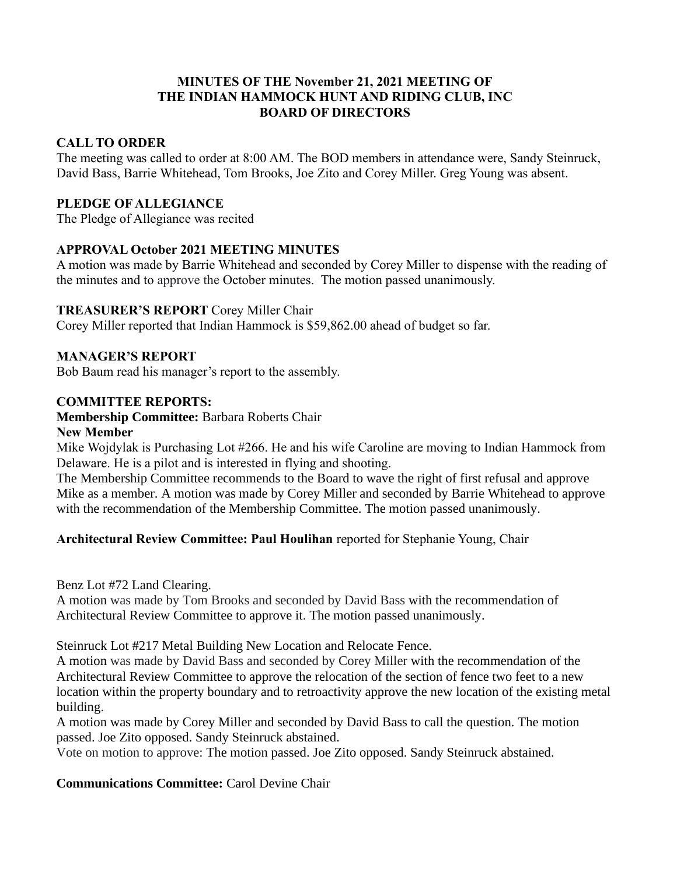## **MINUTES OF THE November 21, 2021 MEETING OF THE INDIAN HAMMOCK HUNT AND RIDING CLUB, INC BOARD OF DIRECTORS**

## **CALL TO ORDER**

The meeting was called to order at 8:00 AM. The BOD members in attendance were, Sandy Steinruck, David Bass, Barrie Whitehead, Tom Brooks, Joe Zito and Corey Miller. Greg Young was absent.

#### **PLEDGE OF ALLEGIANCE**

The Pledge of Allegiance was recited

## **APPROVAL October 2021 MEETING MINUTES**

A motion was made by Barrie Whitehead and seconded by Corey Miller to dispense with the reading of the minutes and to approve the October minutes. The motion passed unanimously.

#### **TREASURER'S REPORT** Corey Miller Chair

Corey Miller reported that Indian Hammock is \$59,862.00 ahead of budget so far.

#### **MANAGER'S REPORT**

Bob Baum read his manager's report to the assembly.

#### **COMMITTEE REPORTS:**

## **Membership Committee:** Barbara Roberts Chair

#### **New Member**

Mike Wojdylak is Purchasing Lot #266. He and his wife Caroline are moving to Indian Hammock from Delaware. He is a pilot and is interested in flying and shooting.

The Membership Committee recommends to the Board to wave the right of first refusal and approve Mike as a member. A motion was made by Corey Miller and seconded by Barrie Whitehead to approve with the recommendation of the Membership Committee. The motion passed unanimously.

## **Architectural Review Committee: Paul Houlihan** reported for Stephanie Young, Chair

Benz Lot #72 Land Clearing.

A motion was made by Tom Brooks and seconded by David Bass with the recommendation of Architectural Review Committee to approve it. The motion passed unanimously.

Steinruck Lot #217 Metal Building New Location and Relocate Fence.

A motion was made by David Bass and seconded by Corey Miller with the recommendation of the Architectural Review Committee to approve the relocation of the section of fence two feet to a new location within the property boundary and to retroactivity approve the new location of the existing metal building.

A motion was made by Corey Miller and seconded by David Bass to call the question. The motion passed. Joe Zito opposed. Sandy Steinruck abstained.

Vote on motion to approve: The motion passed. Joe Zito opposed. Sandy Steinruck abstained.

**Communications Committee:** Carol Devine Chair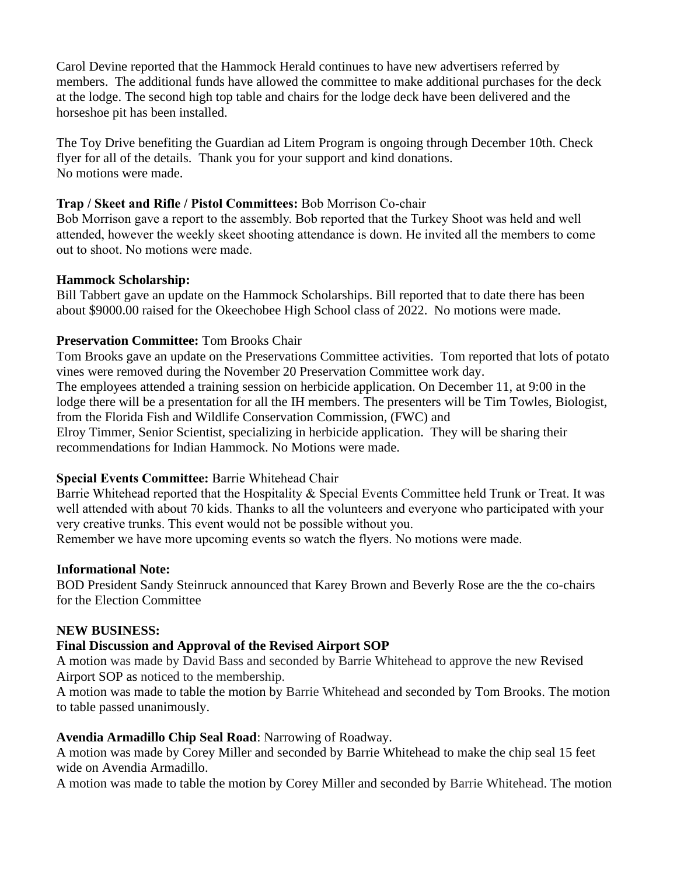Carol Devine reported that the Hammock Herald continues to have new advertisers referred by members. The additional funds have allowed the committee to make additional purchases for the deck at the lodge. The second high top table and chairs for the lodge deck have been delivered and the horseshoe pit has been installed.

The Toy Drive benefiting the Guardian ad Litem Program is ongoing through December 10th. Check flyer for all of the details. Thank you for your support and kind donations. No motions were made.

## **Trap / Skeet and Rifle / Pistol Committees:** Bob Morrison Co-chair

Bob Morrison gave a report to the assembly. Bob reported that the Turkey Shoot was held and well attended, however the weekly skeet shooting attendance is down. He invited all the members to come out to shoot. No motions were made.

## **Hammock Scholarship:**

Bill Tabbert gave an update on the Hammock Scholarships. Bill reported that to date there has been about \$9000.00 raised for the Okeechobee High School class of 2022. No motions were made.

# **Preservation Committee:** Tom Brooks Chair

Tom Brooks gave an update on the Preservations Committee activities. Tom reported that lots of potato vines were removed during the November 20 Preservation Committee work day. The employees attended a training session on herbicide application. On December 11, at 9:00 in the lodge there will be a presentation for all the IH members. The presenters will be Tim Towles, Biologist, from the Florida Fish and Wildlife Conservation Commission, (FWC) and Elroy Timmer, Senior Scientist, specializing in herbicide application. They will be sharing their

recommendations for Indian Hammock. No Motions were made.

# **Special Events Committee:** Barrie Whitehead Chair

Barrie Whitehead reported that the Hospitality & Special Events Committee held Trunk or Treat. It was well attended with about 70 kids. Thanks to all the volunteers and everyone who participated with your very creative trunks. This event would not be possible without you.

Remember we have more upcoming events so watch the flyers. No motions were made.

## **Informational Note:**

BOD President Sandy Steinruck announced that Karey Brown and Beverly Rose are the the co-chairs for the Election Committee

## **NEW BUSINESS:**

# **Final Discussion and Approval of the Revised Airport SOP**

A motion was made by David Bass and seconded by Barrie Whitehead to approve the new Revised Airport SOP as noticed to the membership.

A motion was made to table the motion by Barrie Whitehead and seconded by Tom Brooks. The motion to table passed unanimously.

## **Avendia Armadillo Chip Seal Road**: Narrowing of Roadway.

A motion was made by Corey Miller and seconded by Barrie Whitehead to make the chip seal 15 feet wide on Avendia Armadillo.

A motion was made to table the motion by Corey Miller and seconded by Barrie Whitehead. The motion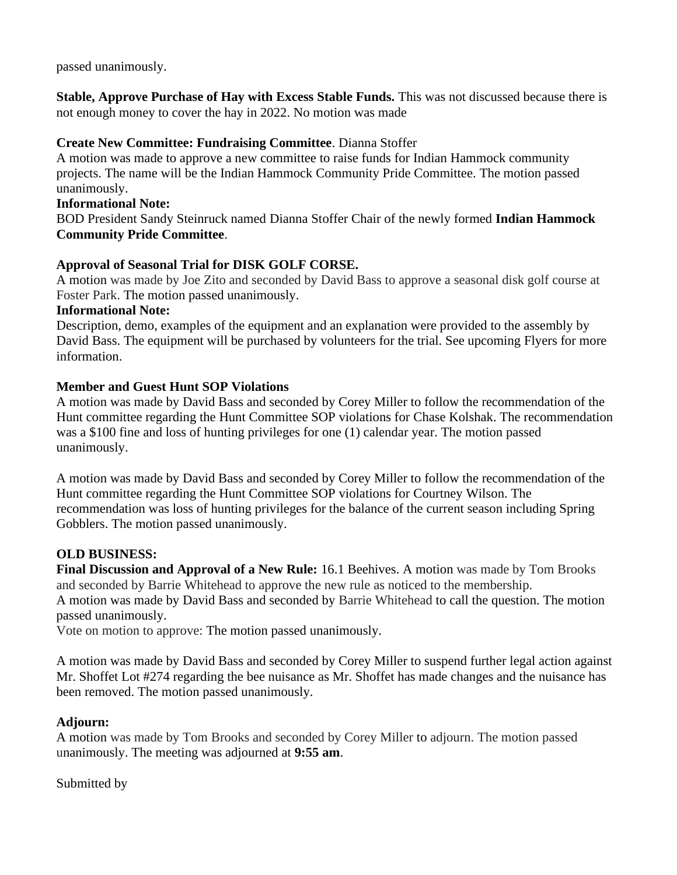passed unanimously.

**Stable, Approve Purchase of Hay with Excess Stable Funds.** This was not discussed because there is not enough money to cover the hay in 2022. No motion was made

## **Create New Committee: Fundraising Committee**. Dianna Stoffer

A motion was made to approve a new committee to raise funds for Indian Hammock community projects. The name will be the Indian Hammock Community Pride Committee. The motion passed unanimously.

# **Informational Note:**

BOD President Sandy Steinruck named Dianna Stoffer Chair of the newly formed **Indian Hammock Community Pride Committee**.

## **Approval of Seasonal Trial for DISK GOLF CORSE.**

A motion was made by Joe Zito and seconded by David Bass to approve a seasonal disk golf course at Foster Park. The motion passed unanimously.

## **Informational Note:**

Description, demo, examples of the equipment and an explanation were provided to the assembly by David Bass. The equipment will be purchased by volunteers for the trial. See upcoming Flyers for more information.

## **Member and Guest Hunt SOP Violations**

A motion was made by David Bass and seconded by Corey Miller to follow the recommendation of the Hunt committee regarding the Hunt Committee SOP violations for Chase Kolshak. The recommendation was a \$100 fine and loss of hunting privileges for one (1) calendar year. The motion passed unanimously.

A motion was made by David Bass and seconded by Corey Miller to follow the recommendation of the Hunt committee regarding the Hunt Committee SOP violations for Courtney Wilson. The recommendation was loss of hunting privileges for the balance of the current season including Spring Gobblers. The motion passed unanimously.

## **OLD BUSINESS:**

**Final Discussion and Approval of a New Rule:** 16.1 Beehives. A motion was made by Tom Brooks and seconded by Barrie Whitehead to approve the new rule as noticed to the membership. A motion was made by David Bass and seconded by Barrie Whitehead to call the question. The motion passed unanimously.

Vote on motion to approve: The motion passed unanimously.

A motion was made by David Bass and seconded by Corey Miller to suspend further legal action against Mr. Shoffet Lot #274 regarding the bee nuisance as Mr. Shoffet has made changes and the nuisance has been removed. The motion passed unanimously.

## **Adjourn:**

A motion was made by Tom Brooks and seconded by Corey Miller to adjourn. The motion passed unanimously. The meeting was adjourned at **9:55 am**.

## Submitted by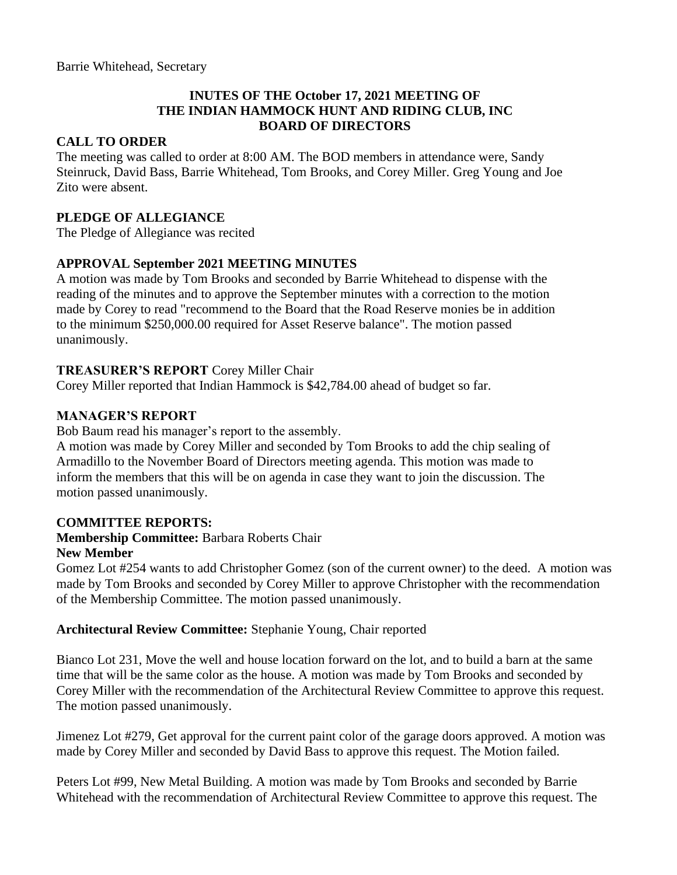## **INUTES OF THE October 17, 2021 MEETING OF THE INDIAN HAMMOCK HUNT AND RIDING CLUB, INC BOARD OF DIRECTORS**

## **CALL TO ORDER**

The meeting was called to order at 8:00 AM. The BOD members in attendance were, Sandy Steinruck, David Bass, Barrie Whitehead, Tom Brooks, and Corey Miller. Greg Young and Joe Zito were absent.

#### **PLEDGE OF ALLEGIANCE**

The Pledge of Allegiance was recited

## **APPROVAL September 2021 MEETING MINUTES**

A motion was made by Tom Brooks and seconded by Barrie Whitehead to dispense with the reading of the minutes and to approve the September minutes with a correction to the motion made by Corey to read "recommend to the Board that the Road Reserve monies be in addition to the minimum \$250,000.00 required for Asset Reserve balance". The motion passed unanimously.

## **TREASURER'S REPORT** Corey Miller Chair

Corey Miller reported that Indian Hammock is \$42,784.00 ahead of budget so far.

## **MANAGER'S REPORT**

Bob Baum read his manager's report to the assembly.

A motion was made by Corey Miller and seconded by Tom Brooks to add the chip sealing of Armadillo to the November Board of Directors meeting agenda. This motion was made to inform the members that this will be on agenda in case they want to join the discussion. The motion passed unanimously.

## **COMMITTEE REPORTS:**

#### **Membership Committee:** Barbara Roberts Chair **New Member**

Gomez Lot #254 wants to add Christopher Gomez (son of the current owner) to the deed. A motion was made by Tom Brooks and seconded by Corey Miller to approve Christopher with the recommendation of the Membership Committee. The motion passed unanimously.

## **Architectural Review Committee:** Stephanie Young, Chair reported

Bianco Lot 231, Move the well and house location forward on the lot, and to build a barn at the same time that will be the same color as the house. A motion was made by Tom Brooks and seconded by Corey Miller with the recommendation of the Architectural Review Committee to approve this request. The motion passed unanimously.

Jimenez Lot #279, Get approval for the current paint color of the garage doors approved. A motion was made by Corey Miller and seconded by David Bass to approve this request. The Motion failed.

Peters Lot #99, New Metal Building. A motion was made by Tom Brooks and seconded by Barrie Whitehead with the recommendation of Architectural Review Committee to approve this request. The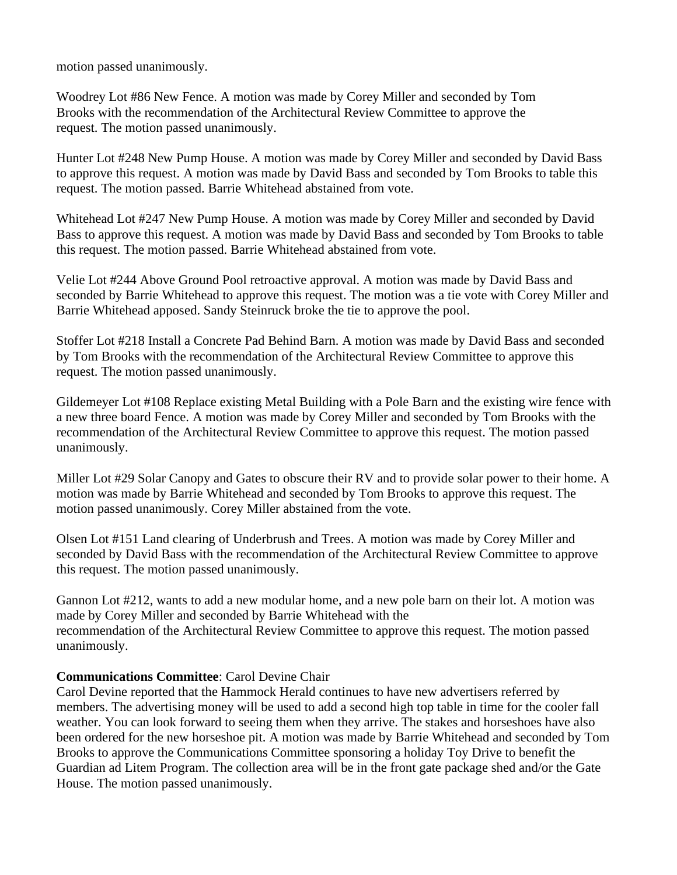motion passed unanimously.

Woodrey Lot #86 New Fence. A motion was made by Corey Miller and seconded by Tom Brooks with the recommendation of the Architectural Review Committee to approve the request. The motion passed unanimously.

Hunter Lot #248 New Pump House. A motion was made by Corey Miller and seconded by David Bass to approve this request. A motion was made by David Bass and seconded by Tom Brooks to table this request. The motion passed. Barrie Whitehead abstained from vote.

Whitehead Lot #247 New Pump House. A motion was made by Corey Miller and seconded by David Bass to approve this request. A motion was made by David Bass and seconded by Tom Brooks to table this request. The motion passed. Barrie Whitehead abstained from vote.

Velie Lot #244 Above Ground Pool retroactive approval. A motion was made by David Bass and seconded by Barrie Whitehead to approve this request. The motion was a tie vote with Corey Miller and Barrie Whitehead apposed. Sandy Steinruck broke the tie to approve the pool.

Stoffer Lot #218 Install a Concrete Pad Behind Barn. A motion was made by David Bass and seconded by Tom Brooks with the recommendation of the Architectural Review Committee to approve this request. The motion passed unanimously.

Gildemeyer Lot #108 Replace existing Metal Building with a Pole Barn and the existing wire fence with a new three board Fence. A motion was made by Corey Miller and seconded by Tom Brooks with the recommendation of the Architectural Review Committee to approve this request. The motion passed unanimously.

Miller Lot #29 Solar Canopy and Gates to obscure their RV and to provide solar power to their home. A motion was made by Barrie Whitehead and seconded by Tom Brooks to approve this request. The motion passed unanimously. Corey Miller abstained from the vote.

Olsen Lot #151 Land clearing of Underbrush and Trees. A motion was made by Corey Miller and seconded by David Bass with the recommendation of the Architectural Review Committee to approve this request. The motion passed unanimously.

Gannon Lot #212, wants to add a new modular home, and a new pole barn on their lot. A motion was made by Corey Miller and seconded by Barrie Whitehead with the recommendation of the Architectural Review Committee to approve this request. The motion passed unanimously.

## **Communications Committee**: Carol Devine Chair

Carol Devine reported that the Hammock Herald continues to have new advertisers referred by members. The advertising money will be used to add a second high top table in time for the cooler fall weather. You can look forward to seeing them when they arrive. The stakes and horseshoes have also been ordered for the new horseshoe pit. A motion was made by Barrie Whitehead and seconded by Tom Brooks to approve the Communications Committee sponsoring a holiday Toy Drive to benefit the Guardian ad Litem Program. The collection area will be in the front gate package shed and/or the Gate House. The motion passed unanimously.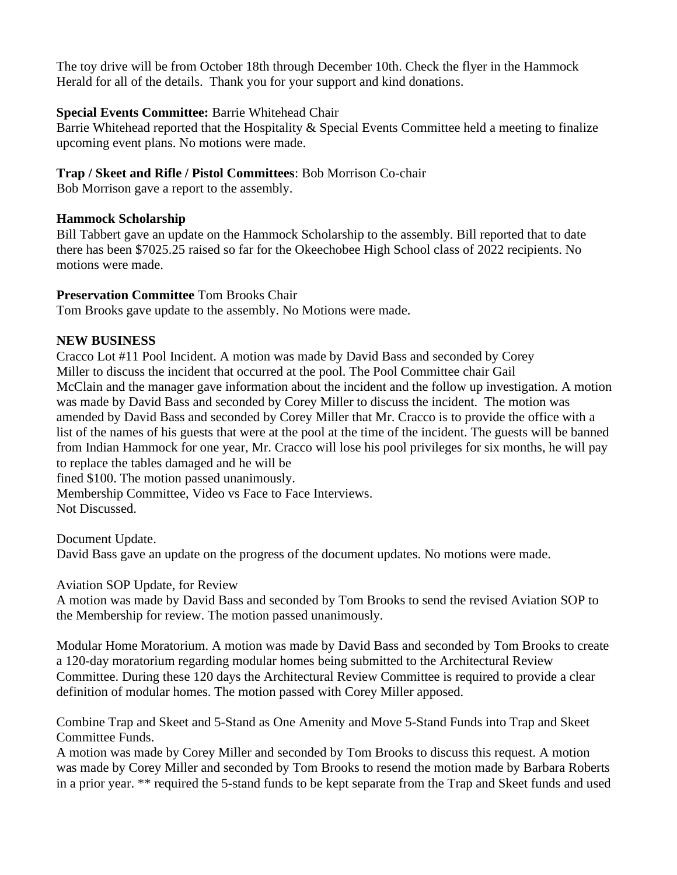The toy drive will be from October 18th through December 10th. Check the flyer in the Hammock Herald for all of the details. Thank you for your support and kind donations.

## **Special Events Committee:** Barrie Whitehead Chair

Barrie Whitehead reported that the Hospitality & Special Events Committee held a meeting to finalize upcoming event plans. No motions were made.

## **Trap / Skeet and Rifle / Pistol Committees**: Bob Morrison Co-chair

Bob Morrison gave a report to the assembly.

## **Hammock Scholarship**

Bill Tabbert gave an update on the Hammock Scholarship to the assembly. Bill reported that to date there has been \$7025.25 raised so far for the Okeechobee High School class of 2022 recipients. No motions were made.

## **Preservation Committee** Tom Brooks Chair

Tom Brooks gave update to the assembly. No Motions were made.

## **NEW BUSINESS**

Cracco Lot #11 Pool Incident. A motion was made by David Bass and seconded by Corey Miller to discuss the incident that occurred at the pool. The Pool Committee chair Gail McClain and the manager gave information about the incident and the follow up investigation. A motion was made by David Bass and seconded by Corey Miller to discuss the incident. The motion was amended by David Bass and seconded by Corey Miller that Mr. Cracco is to provide the office with a list of the names of his guests that were at the pool at the time of the incident. The guests will be banned from Indian Hammock for one year, Mr. Cracco will lose his pool privileges for six months, he will pay to replace the tables damaged and he will be

fined \$100. The motion passed unanimously.

Membership Committee, Video vs Face to Face Interviews. Not Discussed.

Document Update.

David Bass gave an update on the progress of the document updates. No motions were made.

Aviation SOP Update, for Review

A motion was made by David Bass and seconded by Tom Brooks to send the revised Aviation SOP to the Membership for review. The motion passed unanimously.

Modular Home Moratorium. A motion was made by David Bass and seconded by Tom Brooks to create a 120-day moratorium regarding modular homes being submitted to the Architectural Review Committee. During these 120 days the Architectural Review Committee is required to provide a clear definition of modular homes. The motion passed with Corey Miller apposed.

Combine Trap and Skeet and 5-Stand as One Amenity and Move 5-Stand Funds into Trap and Skeet Committee Funds.

A motion was made by Corey Miller and seconded by Tom Brooks to discuss this request. A motion was made by Corey Miller and seconded by Tom Brooks to resend the motion made by Barbara Roberts in a prior year. \*\* required the 5-stand funds to be kept separate from the Trap and Skeet funds and used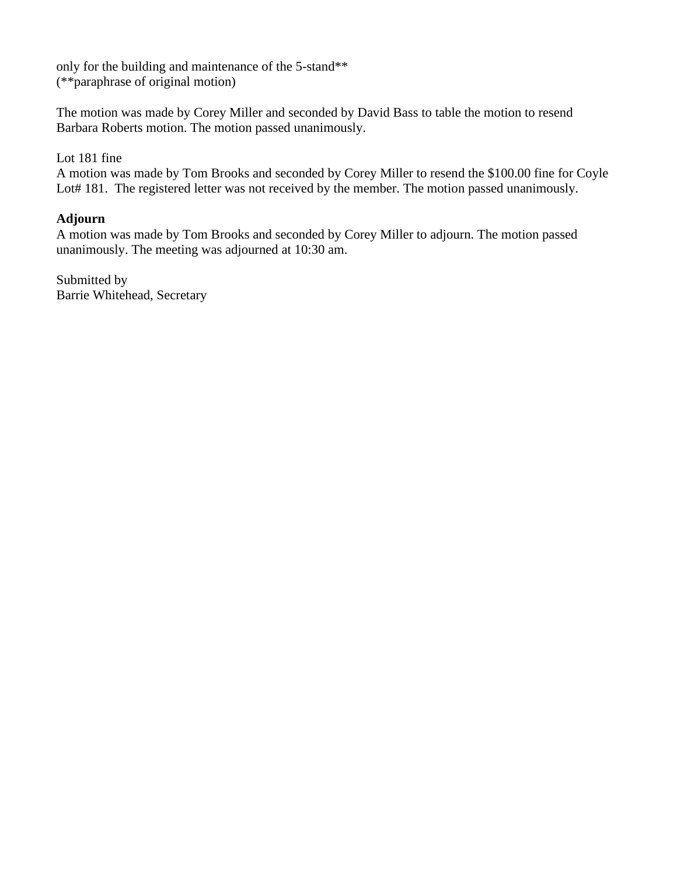only for the building and maintenance of the 5-stand\*\* (\*\*paraphrase of original motion)

The motion was made by Corey Miller and seconded by David Bass to table the motion to resend Barbara Roberts motion. The motion passed unanimously.

## Lot 181 fine

A motion was made by Tom Brooks and seconded by Corey Miller to resend the \$100.00 fine for Coyle Lot# 181. The registered letter was not received by the member. The motion passed unanimously.

## **Adjourn**

A motion was made by Tom Brooks and seconded by Corey Miller to adjourn. The motion passed unanimously. The meeting was adjourned at 10:30 am.

Submitted by Barrie Whitehead, Secretary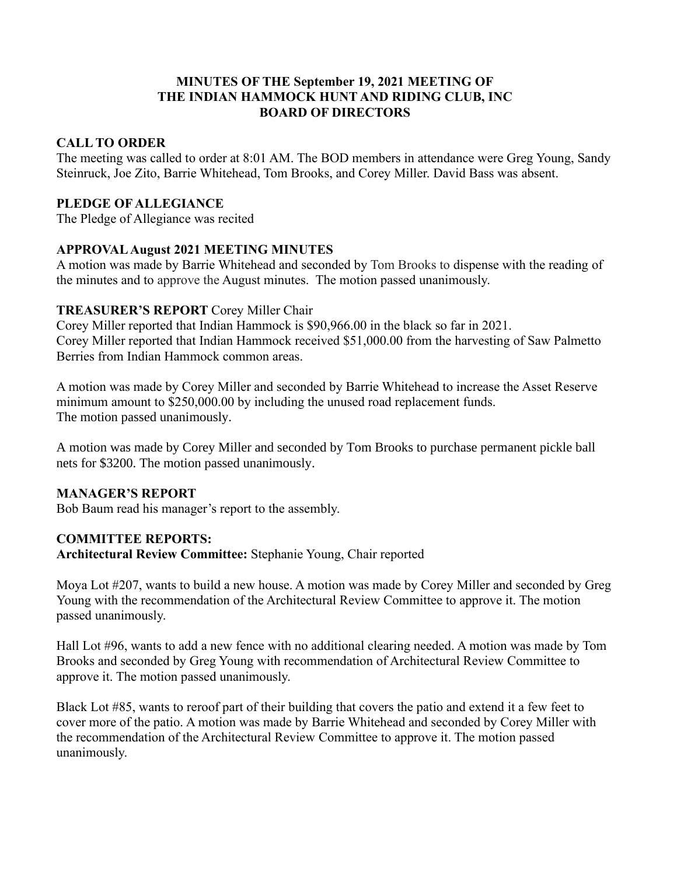## **MINUTES OF THE September 19, 2021 MEETING OF THE INDIAN HAMMOCK HUNT AND RIDING CLUB, INC BOARD OF DIRECTORS**

#### **CALL TO ORDER**

The meeting was called to order at 8:01 AM. The BOD members in attendance were Greg Young, Sandy Steinruck, Joe Zito, Barrie Whitehead, Tom Brooks, and Corey Miller. David Bass was absent.

#### **PLEDGE OF ALLEGIANCE**

The Pledge of Allegiance was recited

## **APPROVAL August 2021 MEETING MINUTES**

A motion was made by Barrie Whitehead and seconded by Tom Brooks to dispense with the reading of the minutes and to approve the August minutes. The motion passed unanimously.

#### **TREASURER'S REPORT** Corey Miller Chair

Corey Miller reported that Indian Hammock is \$90,966.00 in the black so far in 2021. Corey Miller reported that Indian Hammock received \$51,000.00 from the harvesting of Saw Palmetto Berries from Indian Hammock common areas.

A motion was made by Corey Miller and seconded by Barrie Whitehead to increase the Asset Reserve minimum amount to \$250,000.00 by including the unused road replacement funds. The motion passed unanimously.

A motion was made by Corey Miller and seconded by Tom Brooks to purchase permanent pickle ball nets for \$3200. The motion passed unanimously.

## **MANAGER'S REPORT**

Bob Baum read his manager's report to the assembly.

## **COMMITTEE REPORTS:**

**Architectural Review Committee:** Stephanie Young, Chair reported

Moya Lot #207, wants to build a new house. A motion was made by Corey Miller and seconded by Greg Young with the recommendation of the Architectural Review Committee to approve it. The motion passed unanimously.

Hall Lot #96, wants to add a new fence with no additional clearing needed. A motion was made by Tom Brooks and seconded by Greg Young with recommendation of Architectural Review Committee to approve it. The motion passed unanimously.

Black Lot #85, wants to reroof part of their building that covers the patio and extend it a few feet to cover more of the patio. A motion was made by Barrie Whitehead and seconded by Corey Miller with the recommendation of the Architectural Review Committee to approve it. The motion passed unanimously.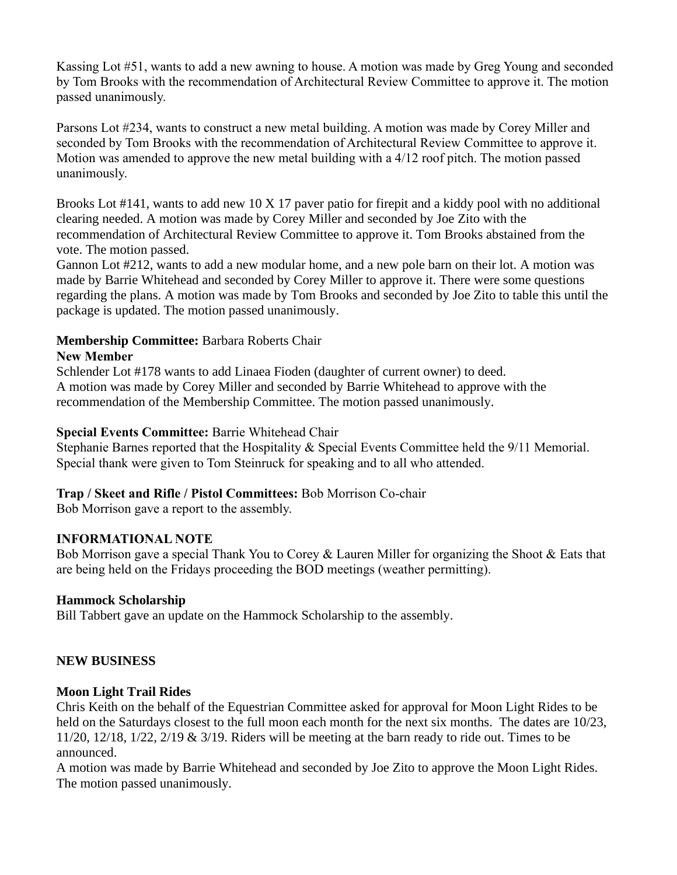Kassing Lot #51, wants to add a new awning to house. A motion was made by Greg Young and seconded by Tom Brooks with the recommendation of Architectural Review Committee to approve it. The motion passed unanimously.

Parsons Lot #234, wants to construct a new metal building. A motion was made by Corey Miller and seconded by Tom Brooks with the recommendation of Architectural Review Committee to approve it. Motion was amended to approve the new metal building with a 4/12 roof pitch. The motion passed unanimously.

Brooks Lot #141, wants to add new 10 X 17 paver patio for firepit and a kiddy pool with no additional clearing needed. A motion was made by Corey Miller and seconded by Joe Zito with the recommendation of Architectural Review Committee to approve it. Tom Brooks abstained from the vote. The motion passed.

Gannon Lot #212, wants to add a new modular home, and a new pole barn on their lot. A motion was made by Barrie Whitehead and seconded by Corey Miller to approve it. There were some questions regarding the plans. A motion was made by Tom Brooks and seconded by Joe Zito to table this until the package is updated. The motion passed unanimously.

#### **Membership Committee:** Barbara Roberts Chair **New Member**

Schlender Lot #178 wants to add Linaea Fioden (daughter of current owner) to deed. A motion was made by Corey Miller and seconded by Barrie Whitehead to approve with the recommendation of the Membership Committee. The motion passed unanimously.

## **Special Events Committee:** Barrie Whitehead Chair

Stephanie Barnes reported that the Hospitality & Special Events Committee held the 9/11 Memorial. Special thank were given to Tom Steinruck for speaking and to all who attended.

## **Trap / Skeet and Rifle / Pistol Committees:** Bob Morrison Co-chair

Bob Morrison gave a report to the assembly.

## **INFORMATIONAL NOTE**

Bob Morrison gave a special Thank You to Corey & Lauren Miller for organizing the Shoot & Eats that are being held on the Fridays proceeding the BOD meetings (weather permitting).

## **Hammock Scholarship**

Bill Tabbert gave an update on the Hammock Scholarship to the assembly.

# **NEW BUSINESS**

## **Moon Light Trail Rides**

Chris Keith on the behalf of the Equestrian Committee asked for approval for Moon Light Rides to be held on the Saturdays closest to the full moon each month for the next six months. The dates are 10/23, 11/20, 12/18, 1/22, 2/19 & 3/19. Riders will be meeting at the barn ready to ride out. Times to be announced.

A motion was made by Barrie Whitehead and seconded by Joe Zito to approve the Moon Light Rides. The motion passed unanimously.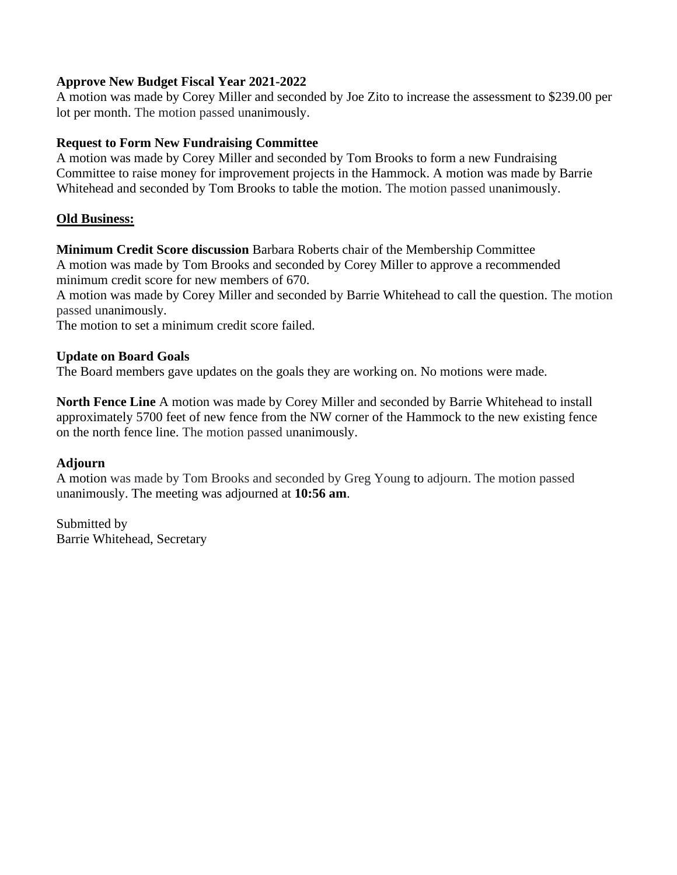#### **Approve New Budget Fiscal Year 2021-2022**

A motion was made by Corey Miller and seconded by Joe Zito to increase the assessment to \$239.00 per lot per month. The motion passed unanimously.

#### **Request to Form New Fundraising Committee**

A motion was made by Corey Miller and seconded by Tom Brooks to form a new Fundraising Committee to raise money for improvement projects in the Hammock. A motion was made by Barrie Whitehead and seconded by Tom Brooks to table the motion. The motion passed unanimously.

#### **Old Business:**

**Minimum Credit Score discussion** Barbara Roberts chair of the Membership Committee A motion was made by Tom Brooks and seconded by Corey Miller to approve a recommended minimum credit score for new members of 670.

A motion was made by Corey Miller and seconded by Barrie Whitehead to call the question. The motion passed unanimously.

The motion to set a minimum credit score failed.

#### **Update on Board Goals**

The Board members gave updates on the goals they are working on. No motions were made.

**North Fence Line** A motion was made by Corey Miller and seconded by Barrie Whitehead to install approximately 5700 feet of new fence from the NW corner of the Hammock to the new existing fence on the north fence line. The motion passed unanimously.

## **Adjourn**

A motion was made by Tom Brooks and seconded by Greg Young to adjourn. The motion passed unanimously. The meeting was adjourned at **10:56 am**.

Submitted by Barrie Whitehead, Secretary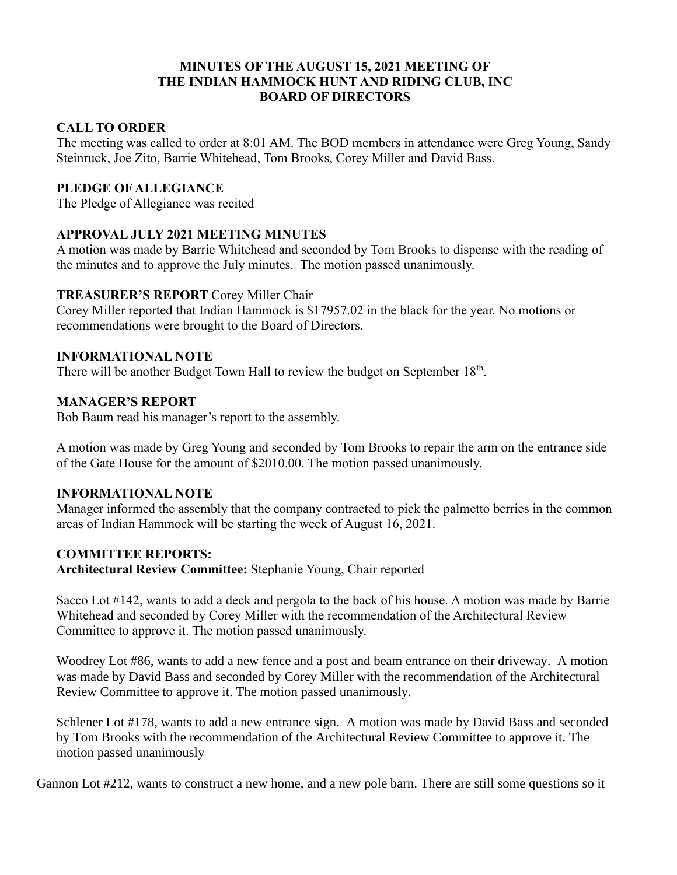#### **MINUTES OF THE AUGUST 15, 2021 MEETING OF THE INDIAN HAMMOCK HUNT AND RIDING CLUB, INC BOARD OF DIRECTORS**

## **CALL TO ORDER**

The meeting was called to order at 8:01 AM. The BOD members in attendance were Greg Young, Sandy Steinruck, Joe Zito, Barrie Whitehead, Tom Brooks, Corey Miller and David Bass.

## **PLEDGE OF ALLEGIANCE**

The Pledge of Allegiance was recited

## **APPROVAL JULY 2021 MEETING MINUTES**

A motion was made by Barrie Whitehead and seconded by Tom Brooks to dispense with the reading of the minutes and to approve the July minutes. The motion passed unanimously.

## **TREASURER'S REPORT** Corey Miller Chair

Corey Miller reported that Indian Hammock is \$17957.02 in the black for the year. No motions or recommendations were brought to the Board of Directors.

## **INFORMATIONAL NOTE**

There will be another Budget Town Hall to review the budget on September  $18<sup>th</sup>$ .

## **MANAGER'S REPORT**

Bob Baum read his manager's report to the assembly.

A motion was made by Greg Young and seconded by Tom Brooks to repair the arm on the entrance side of the Gate House for the amount of \$2010.00. The motion passed unanimously.

## **INFORMATIONAL NOTE**

Manager informed the assembly that the company contracted to pick the palmetto berries in the common areas of Indian Hammock will be starting the week of August 16, 2021.

## **COMMITTEE REPORTS:**

**Architectural Review Committee:** Stephanie Young, Chair reported

Sacco Lot #142, wants to add a deck and pergola to the back of his house. A motion was made by Barrie Whitehead and seconded by Corey Miller with the recommendation of the Architectural Review Committee to approve it. The motion passed unanimously.

Woodrey Lot #86, wants to add a new fence and a post and beam entrance on their driveway. A motion was made by David Bass and seconded by Corey Miller with the recommendation of the Architectural Review Committee to approve it. The motion passed unanimously.

Schlener Lot #178, wants to add a new entrance sign. A motion was made by David Bass and seconded by Tom Brooks with the recommendation of the Architectural Review Committee to approve it. The motion passed unanimously

Gannon Lot #212, wants to construct a new home, and a new pole barn. There are still some questions so it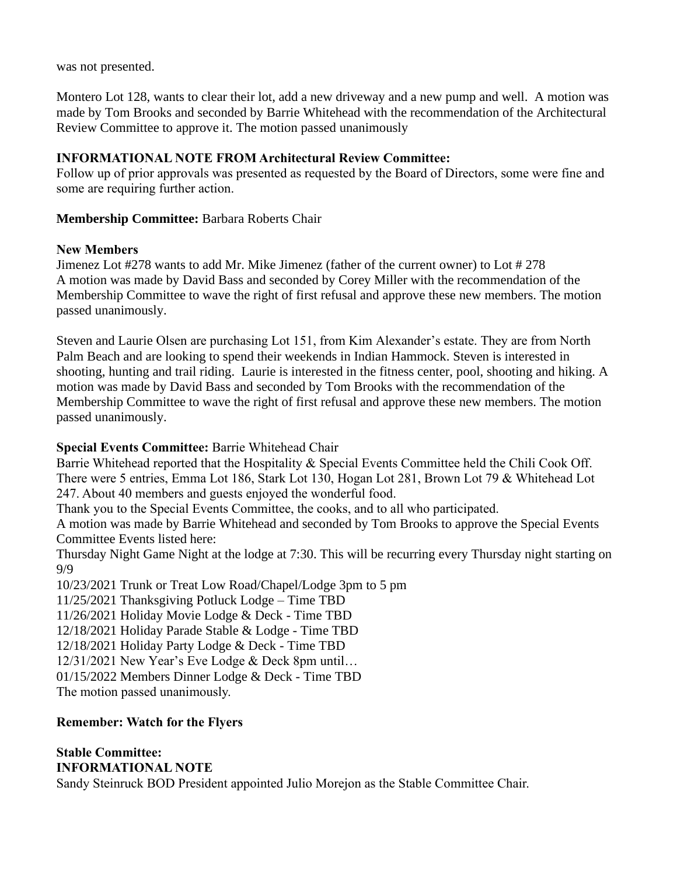was not presented.

Montero Lot 128, wants to clear their lot, add a new driveway and a new pump and well. A motion was made by Tom Brooks and seconded by Barrie Whitehead with the recommendation of the Architectural Review Committee to approve it. The motion passed unanimously

## **INFORMATIONAL NOTE FROM Architectural Review Committee:**

Follow up of prior approvals was presented as requested by the Board of Directors, some were fine and some are requiring further action.

## **Membership Committee:** Barbara Roberts Chair

## **New Members**

Jimenez Lot #278 wants to add Mr. Mike Jimenez (father of the current owner) to Lot # 278 A motion was made by David Bass and seconded by Corey Miller with the recommendation of the Membership Committee to wave the right of first refusal and approve these new members. The motion passed unanimously.

Steven and Laurie Olsen are purchasing Lot 151, from Kim Alexander's estate. They are from North Palm Beach and are looking to spend their weekends in Indian Hammock. Steven is interested in shooting, hunting and trail riding. Laurie is interested in the fitness center, pool, shooting and hiking. A motion was made by David Bass and seconded by Tom Brooks with the recommendation of the Membership Committee to wave the right of first refusal and approve these new members. The motion passed unanimously.

# **Special Events Committee:** Barrie Whitehead Chair

Barrie Whitehead reported that the Hospitality & Special Events Committee held the Chili Cook Off. There were 5 entries, Emma Lot 186, Stark Lot 130, Hogan Lot 281, Brown Lot 79 & Whitehead Lot 247. About 40 members and guests enjoyed the wonderful food.

Thank you to the Special Events Committee, the cooks, and to all who participated.

A motion was made by Barrie Whitehead and seconded by Tom Brooks to approve the Special Events Committee Events listed here:

Thursday Night Game Night at the lodge at 7:30. This will be recurring every Thursday night starting on 9/9

10/23/2021 Trunk or Treat Low Road/Chapel/Lodge 3pm to 5 pm

11/25/2021 Thanksgiving Potluck Lodge – Time TBD

11/26/2021 Holiday Movie Lodge & Deck - Time TBD

12/18/2021 Holiday Parade Stable & Lodge - Time TBD

12/18/2021 Holiday Party Lodge & Deck - Time TBD

12/31/2021 New Year's Eve Lodge & Deck 8pm until…

01/15/2022 Members Dinner Lodge & Deck - Time TBD

The motion passed unanimously.

## **Remember: Watch for the Flyers**

#### **Stable Committee: INFORMATIONAL NOTE**

Sandy Steinruck BOD President appointed Julio Morejon as the Stable Committee Chair.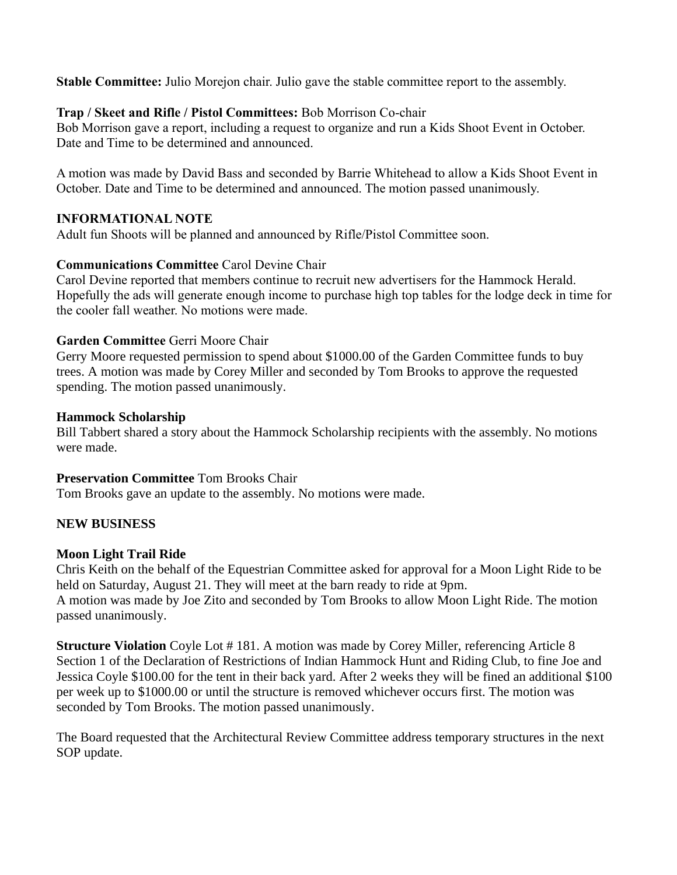**Stable Committee:** Julio Morejon chair. Julio gave the stable committee report to the assembly.

## **Trap / Skeet and Rifle / Pistol Committees:** Bob Morrison Co-chair

Bob Morrison gave a report, including a request to organize and run a Kids Shoot Event in October. Date and Time to be determined and announced.

A motion was made by David Bass and seconded by Barrie Whitehead to allow a Kids Shoot Event in October. Date and Time to be determined and announced. The motion passed unanimously.

## **INFORMATIONAL NOTE**

Adult fun Shoots will be planned and announced by Rifle/Pistol Committee soon.

# **Communications Committee** Carol Devine Chair

Carol Devine reported that members continue to recruit new advertisers for the Hammock Herald. Hopefully the ads will generate enough income to purchase high top tables for the lodge deck in time for the cooler fall weather. No motions were made.

## **Garden Committee** Gerri Moore Chair

Gerry Moore requested permission to spend about \$1000.00 of the Garden Committee funds to buy trees. A motion was made by Corey Miller and seconded by Tom Brooks to approve the requested spending. The motion passed unanimously.

## **Hammock Scholarship**

Bill Tabbert shared a story about the Hammock Scholarship recipients with the assembly. No motions were made.

# **Preservation Committee** Tom Brooks Chair

Tom Brooks gave an update to the assembly. No motions were made.

# **NEW BUSINESS**

# **Moon Light Trail Ride**

Chris Keith on the behalf of the Equestrian Committee asked for approval for a Moon Light Ride to be held on Saturday, August 21. They will meet at the barn ready to ride at 9pm. A motion was made by Joe Zito and seconded by Tom Brooks to allow Moon Light Ride. The motion passed unanimously.

**Structure Violation** Coyle Lot #181. A motion was made by Corey Miller, referencing Article 8 Section 1 of the Declaration of Restrictions of Indian Hammock Hunt and Riding Club, to fine Joe and Jessica Coyle \$100.00 for the tent in their back yard. After 2 weeks they will be fined an additional \$100 per week up to \$1000.00 or until the structure is removed whichever occurs first. The motion was seconded by Tom Brooks. The motion passed unanimously.

The Board requested that the Architectural Review Committee address temporary structures in the next SOP update.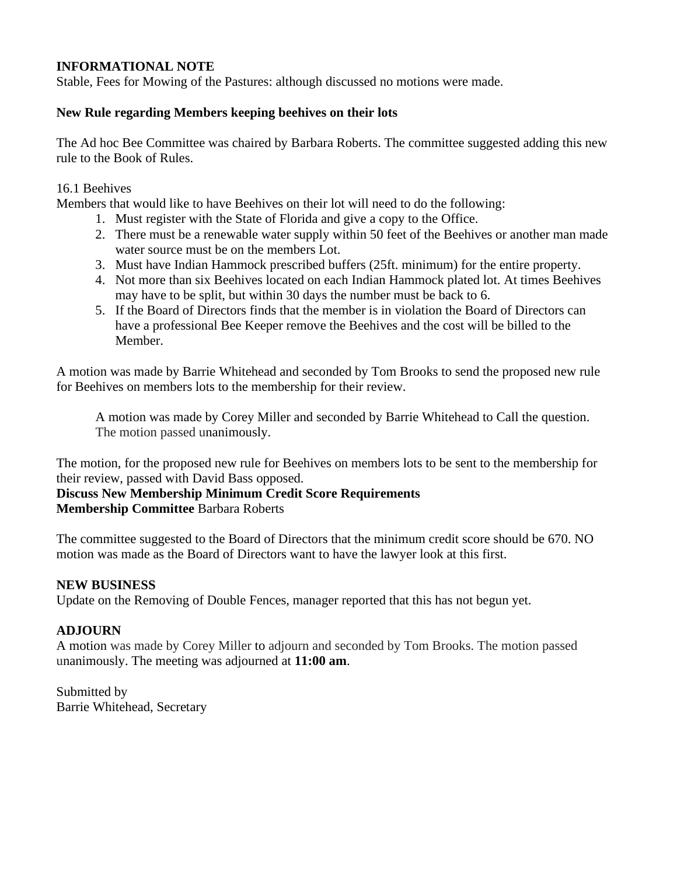## **INFORMATIONAL NOTE**

Stable, Fees for Mowing of the Pastures: although discussed no motions were made.

#### **New Rule regarding Members keeping beehives on their lots**

The Ad hoc Bee Committee was chaired by Barbara Roberts. The committee suggested adding this new rule to the Book of Rules.

#### 16.1 Beehives

Members that would like to have Beehives on their lot will need to do the following:

- 1. Must register with the State of Florida and give a copy to the Office.
- 2. There must be a renewable water supply within 50 feet of the Beehives or another man made water source must be on the members Lot.
- 3. Must have Indian Hammock prescribed buffers (25ft. minimum) for the entire property.
- 4. Not more than six Beehives located on each Indian Hammock plated lot. At times Beehives may have to be split, but within 30 days the number must be back to 6.
- 5. If the Board of Directors finds that the member is in violation the Board of Directors can have a professional Bee Keeper remove the Beehives and the cost will be billed to the Member.

A motion was made by Barrie Whitehead and seconded by Tom Brooks to send the proposed new rule for Beehives on members lots to the membership for their review.

A motion was made by Corey Miller and seconded by Barrie Whitehead to Call the question. The motion passed unanimously.

The motion, for the proposed new rule for Beehives on members lots to be sent to the membership for their review, passed with David Bass opposed.

**Discuss New Membership Minimum Credit Score Requirements**

**Membership Committee** Barbara Roberts

The committee suggested to the Board of Directors that the minimum credit score should be 670. NO motion was made as the Board of Directors want to have the lawyer look at this first.

## **NEW BUSINESS**

Update on the Removing of Double Fences, manager reported that this has not begun yet.

## **ADJOURN**

A motion was made by Corey Miller to adjourn and seconded by Tom Brooks. The motion passed unanimously. The meeting was adjourned at **11:00 am**.

Submitted by Barrie Whitehead, Secretary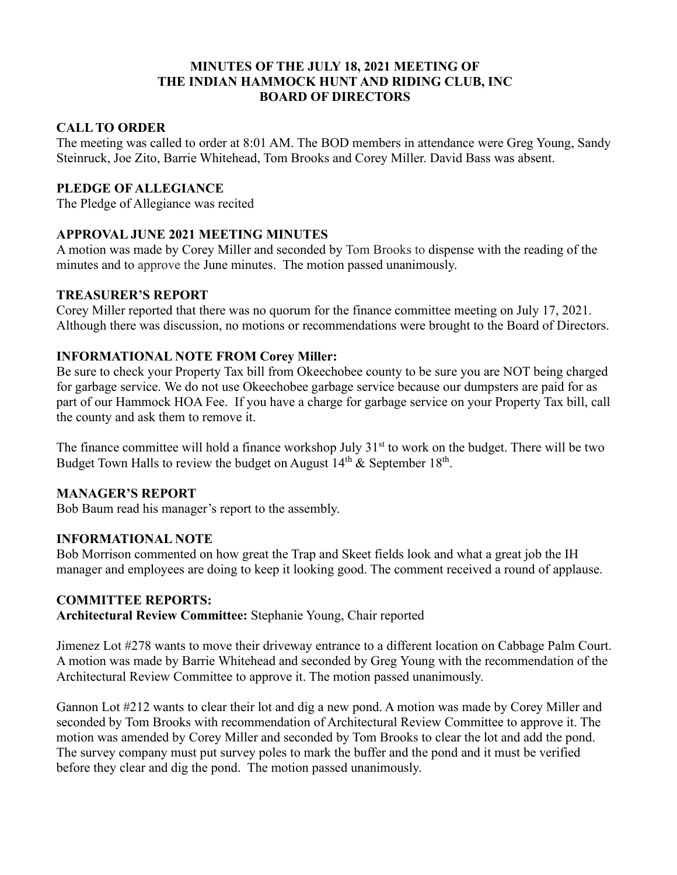#### **MINUTES OF THE JULY 18, 2021 MEETING OF THE INDIAN HAMMOCK HUNT AND RIDING CLUB, INC BOARD OF DIRECTORS**

## **CALL TO ORDER**

The meeting was called to order at 8:01 AM. The BOD members in attendance were Greg Young, Sandy Steinruck, Joe Zito, Barrie Whitehead, Tom Brooks and Corey Miller. David Bass was absent.

## **PLEDGE OF ALLEGIANCE**

The Pledge of Allegiance was recited

## **APPROVAL JUNE 2021 MEETING MINUTES**

A motion was made by Corey Miller and seconded by Tom Brooks to dispense with the reading of the minutes and to approve the June minutes. The motion passed unanimously.

## **TREASURER'S REPORT**

Corey Miller reported that there was no quorum for the finance committee meeting on July 17, 2021. Although there was discussion, no motions or recommendations were brought to the Board of Directors.

## **INFORMATIONAL NOTE FROM Corey Miller:**

Be sure to check your Property Tax bill from Okeechobee county to be sure you are NOT being charged for garbage service. We do not use Okeechobee garbage service because our dumpsters are paid for as part of our Hammock HOA Fee. If you have a charge for garbage service on your Property Tax bill, call the county and ask them to remove it.

The finance committee will hold a finance workshop July  $31<sup>st</sup>$  to work on the budget. There will be two Budget Town Halls to review the budget on August  $14<sup>th</sup>$  & September  $18<sup>th</sup>$ .

## **MANAGER'S REPORT**

Bob Baum read his manager's report to the assembly.

## **INFORMATIONAL NOTE**

Bob Morrison commented on how great the Trap and Skeet fields look and what a great job the IH manager and employees are doing to keep it looking good. The comment received a round of applause.

## **COMMITTEE REPORTS:**

**Architectural Review Committee:** Stephanie Young, Chair reported

Jimenez Lot #278 wants to move their driveway entrance to a different location on Cabbage Palm Court. A motion was made by Barrie Whitehead and seconded by Greg Young with the recommendation of the Architectural Review Committee to approve it. The motion passed unanimously.

Gannon Lot #212 wants to clear their lot and dig a new pond. A motion was made by Corey Miller and seconded by Tom Brooks with recommendation of Architectural Review Committee to approve it. The motion was amended by Corey Miller and seconded by Tom Brooks to clear the lot and add the pond. The survey company must put survey poles to mark the buffer and the pond and it must be verified before they clear and dig the pond. The motion passed unanimously.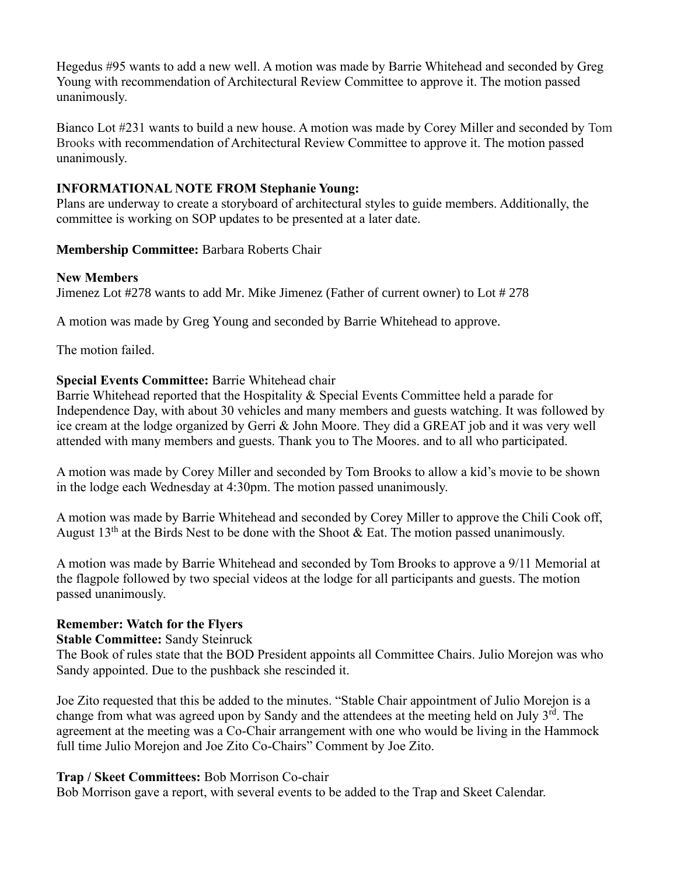Hegedus #95 wants to add a new well. A motion was made by Barrie Whitehead and seconded by Greg Young with recommendation of Architectural Review Committee to approve it. The motion passed unanimously.

Bianco Lot #231 wants to build a new house. A motion was made by Corey Miller and seconded by Tom Brooks with recommendation of Architectural Review Committee to approve it. The motion passed unanimously.

#### **INFORMATIONAL NOTE FROM Stephanie Young:**

Plans are underway to create a storyboard of architectural styles to guide members. Additionally, the committee is working on SOP updates to be presented at a later date.

#### **Membership Committee:** Barbara Roberts Chair

#### **New Members**

Jimenez Lot #278 wants to add Mr. Mike Jimenez (Father of current owner) to Lot # 278

A motion was made by Greg Young and seconded by Barrie Whitehead to approve.

The motion failed.

## **Special Events Committee:** Barrie Whitehead chair

Barrie Whitehead reported that the Hospitality & Special Events Committee held a parade for Independence Day, with about 30 vehicles and many members and guests watching. It was followed by ice cream at the lodge organized by Gerri & John Moore. They did a GREAT job and it was very well attended with many members and guests. Thank you to The Moores. and to all who participated.

A motion was made by Corey Miller and seconded by Tom Brooks to allow a kid's movie to be shown in the lodge each Wednesday at 4:30pm. The motion passed unanimously.

A motion was made by Barrie Whitehead and seconded by Corey Miller to approve the Chili Cook off, August  $13<sup>th</sup>$  at the Birds Nest to be done with the Shoot & Eat. The motion passed unanimously.

A motion was made by Barrie Whitehead and seconded by Tom Brooks to approve a 9/11 Memorial at the flagpole followed by two special videos at the lodge for all participants and guests. The motion passed unanimously.

## **Remember: Watch for the Flyers**

#### **Stable Committee:** Sandy Steinruck

The Book of rules state that the BOD President appoints all Committee Chairs. Julio Morejon was who Sandy appointed. Due to the pushback she rescinded it.

Joe Zito requested that this be added to the minutes. "Stable Chair appointment of Julio Morejon is a change from what was agreed upon by Sandy and the attendees at the meeting held on July  $3<sup>rd</sup>$ . The agreement at the meeting was a Co-Chair arrangement with one who would be living in the Hammock full time Julio Morejon and Joe Zito Co-Chairs" Comment by Joe Zito.

## **Trap / Skeet Committees:** Bob Morrison Co-chair

Bob Morrison gave a report, with several events to be added to the Trap and Skeet Calendar.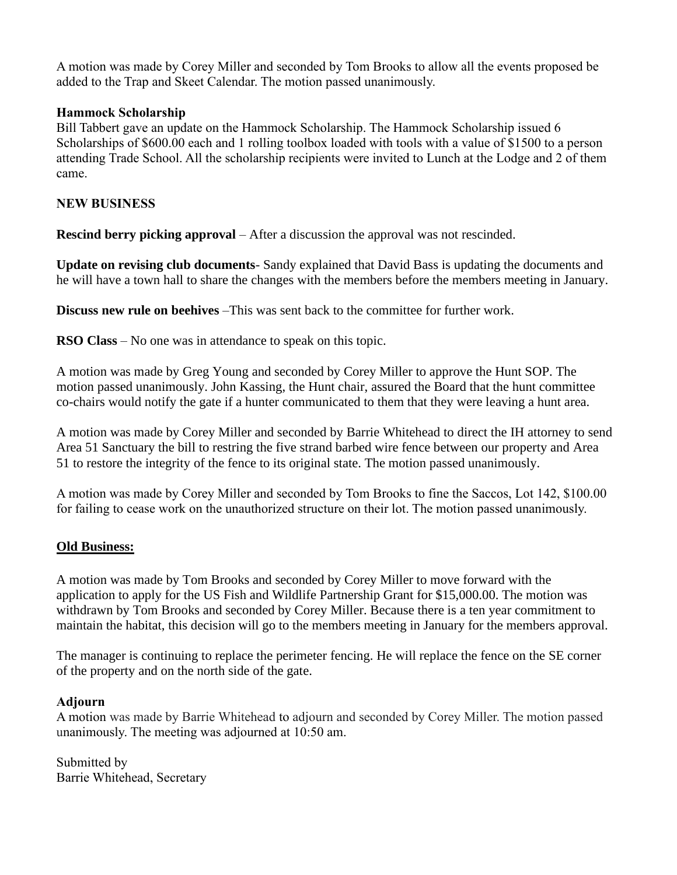A motion was made by Corey Miller and seconded by Tom Brooks to allow all the events proposed be added to the Trap and Skeet Calendar. The motion passed unanimously.

#### **Hammock Scholarship**

Bill Tabbert gave an update on the Hammock Scholarship. The Hammock Scholarship issued 6 Scholarships of \$600.00 each and 1 rolling toolbox loaded with tools with a value of \$1500 to a person attending Trade School. All the scholarship recipients were invited to Lunch at the Lodge and 2 of them came.

#### **NEW BUSINESS**

**Rescind berry picking approval** – After a discussion the approval was not rescinded.

**Update on revising club documents**- Sandy explained that David Bass is updating the documents and he will have a town hall to share the changes with the members before the members meeting in January.

**Discuss new rule on beehives** –This was sent back to the committee for further work.

**RSO Class** – No one was in attendance to speak on this topic.

A motion was made by Greg Young and seconded by Corey Miller to approve the Hunt SOP. The motion passed unanimously. John Kassing, the Hunt chair, assured the Board that the hunt committee co-chairs would notify the gate if a hunter communicated to them that they were leaving a hunt area.

A motion was made by Corey Miller and seconded by Barrie Whitehead to direct the IH attorney to send Area 51 Sanctuary the bill to restring the five strand barbed wire fence between our property and Area 51 to restore the integrity of the fence to its original state. The motion passed unanimously.

A motion was made by Corey Miller and seconded by Tom Brooks to fine the Saccos, Lot 142, \$100.00 for failing to cease work on the unauthorized structure on their lot. The motion passed unanimously.

#### **Old Business:**

A motion was made by Tom Brooks and seconded by Corey Miller to move forward with the application to apply for the US Fish and Wildlife Partnership Grant for \$15,000.00. The motion was withdrawn by Tom Brooks and seconded by Corey Miller. Because there is a ten year commitment to maintain the habitat, this decision will go to the members meeting in January for the members approval.

The manager is continuing to replace the perimeter fencing. He will replace the fence on the SE corner of the property and on the north side of the gate.

#### **Adjourn**

A motion was made by Barrie Whitehead to adjourn and seconded by Corey Miller. The motion passed unanimously. The meeting was adjourned at 10:50 am.

Submitted by Barrie Whitehead, Secretary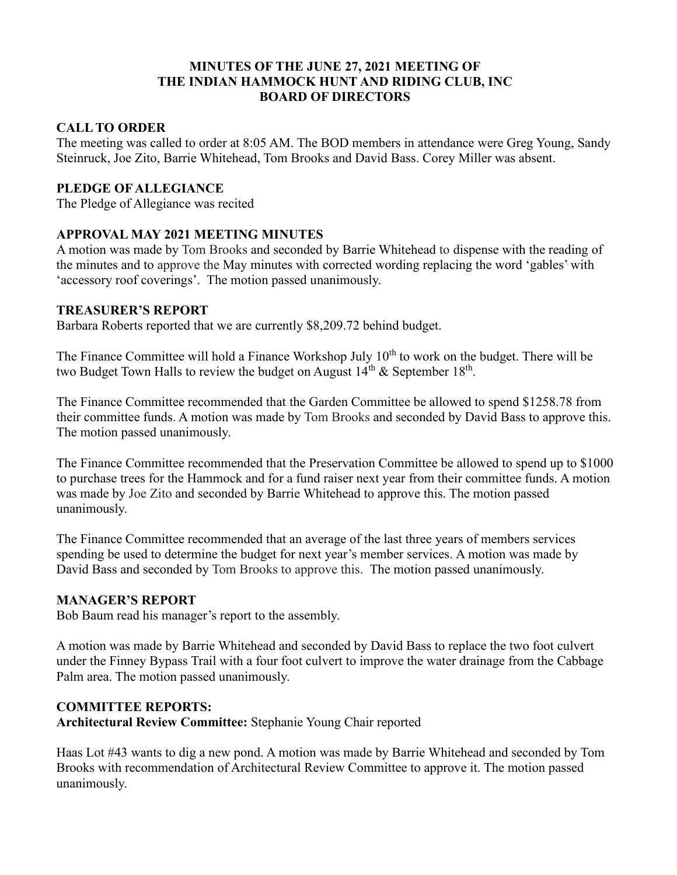#### **MINUTES OF THE JUNE 27, 2021 MEETING OF THE INDIAN HAMMOCK HUNT AND RIDING CLUB, INC BOARD OF DIRECTORS**

## **CALL TO ORDER**

The meeting was called to order at 8:05 AM. The BOD members in attendance were Greg Young, Sandy Steinruck, Joe Zito, Barrie Whitehead, Tom Brooks and David Bass. Corey Miller was absent.

## **PLEDGE OF ALLEGIANCE**

The Pledge of Allegiance was recited

## **APPROVAL MAY 2021 MEETING MINUTES**

A motion was made by Tom Brooks and seconded by Barrie Whitehead to dispense with the reading of the minutes and to approve the May minutes with corrected wording replacing the word 'gables' with 'accessory roof coverings'. The motion passed unanimously.

#### **TREASURER'S REPORT**

Barbara Roberts reported that we are currently \$8,209.72 behind budget.

The Finance Committee will hold a Finance Workshop July 10<sup>th</sup> to work on the budget. There will be two Budget Town Halls to review the budget on August  $14<sup>th</sup>$  & September  $18<sup>th</sup>$ .

The Finance Committee recommended that the Garden Committee be allowed to spend \$1258.78 from their committee funds. A motion was made by Tom Brooks and seconded by David Bass to approve this. The motion passed unanimously.

The Finance Committee recommended that the Preservation Committee be allowed to spend up to \$1000 to purchase trees for the Hammock and for a fund raiser next year from their committee funds. A motion was made by Joe Zito and seconded by Barrie Whitehead to approve this. The motion passed unanimously.

The Finance Committee recommended that an average of the last three years of members services spending be used to determine the budget for next year's member services. A motion was made by David Bass and seconded by Tom Brooks to approve this. The motion passed unanimously.

## **MANAGER'S REPORT**

Bob Baum read his manager's report to the assembly.

A motion was made by Barrie Whitehead and seconded by David Bass to replace the two foot culvert under the Finney Bypass Trail with a four foot culvert to improve the water drainage from the Cabbage Palm area. The motion passed unanimously.

## **COMMITTEE REPORTS:**

**Architectural Review Committee:** Stephanie Young Chair reported

Haas Lot #43 wants to dig a new pond. A motion was made by Barrie Whitehead and seconded by Tom Brooks with recommendation of Architectural Review Committee to approve it. The motion passed unanimously.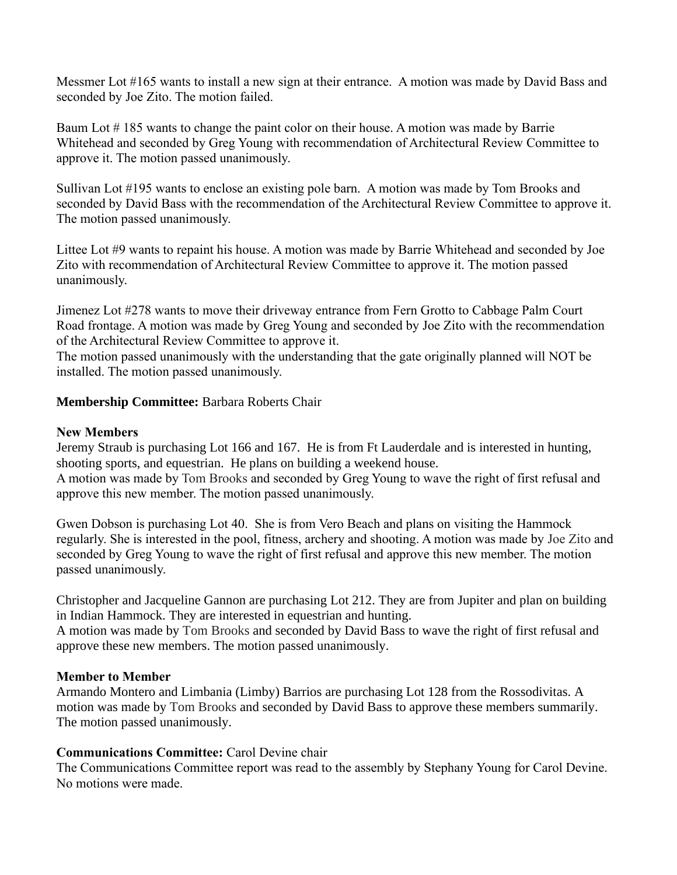Messmer Lot #165 wants to install a new sign at their entrance. A motion was made by David Bass and seconded by Joe Zito. The motion failed.

Baum Lot #185 wants to change the paint color on their house. A motion was made by Barrie Whitehead and seconded by Greg Young with recommendation of Architectural Review Committee to approve it. The motion passed unanimously.

Sullivan Lot #195 wants to enclose an existing pole barn. A motion was made by Tom Brooks and seconded by David Bass with the recommendation of the Architectural Review Committee to approve it. The motion passed unanimously.

Littee Lot #9 wants to repaint his house. A motion was made by Barrie Whitehead and seconded by Joe Zito with recommendation of Architectural Review Committee to approve it. The motion passed unanimously.

Jimenez Lot #278 wants to move their driveway entrance from Fern Grotto to Cabbage Palm Court Road frontage. A motion was made by Greg Young and seconded by Joe Zito with the recommendation of the Architectural Review Committee to approve it.

The motion passed unanimously with the understanding that the gate originally planned will NOT be installed. The motion passed unanimously.

## **Membership Committee:** Barbara Roberts Chair

#### **New Members**

Jeremy Straub is purchasing Lot 166 and 167. He is from Ft Lauderdale and is interested in hunting, shooting sports, and equestrian. He plans on building a weekend house. A motion was made by Tom Brooks and seconded by Greg Young to wave the right of first refusal and approve this new member. The motion passed unanimously.

Gwen Dobson is purchasing Lot 40. She is from Vero Beach and plans on visiting the Hammock regularly. She is interested in the pool, fitness, archery and shooting. A motion was made by Joe Zito and seconded by Greg Young to wave the right of first refusal and approve this new member. The motion passed unanimously.

Christopher and Jacqueline Gannon are purchasing Lot 212. They are from Jupiter and plan on building in Indian Hammock. They are interested in equestrian and hunting.

A motion was made by Tom Brooks and seconded by David Bass to wave the right of first refusal and approve these new members. The motion passed unanimously.

#### **Member to Member**

Armando Montero and Limbania (Limby) Barrios are purchasing Lot 128 from the Rossodivitas. A motion was made by Tom Brooks and seconded by David Bass to approve these members summarily. The motion passed unanimously.

## **Communications Committee:** Carol Devine chair

The Communications Committee report was read to the assembly by Stephany Young for Carol Devine. No motions were made.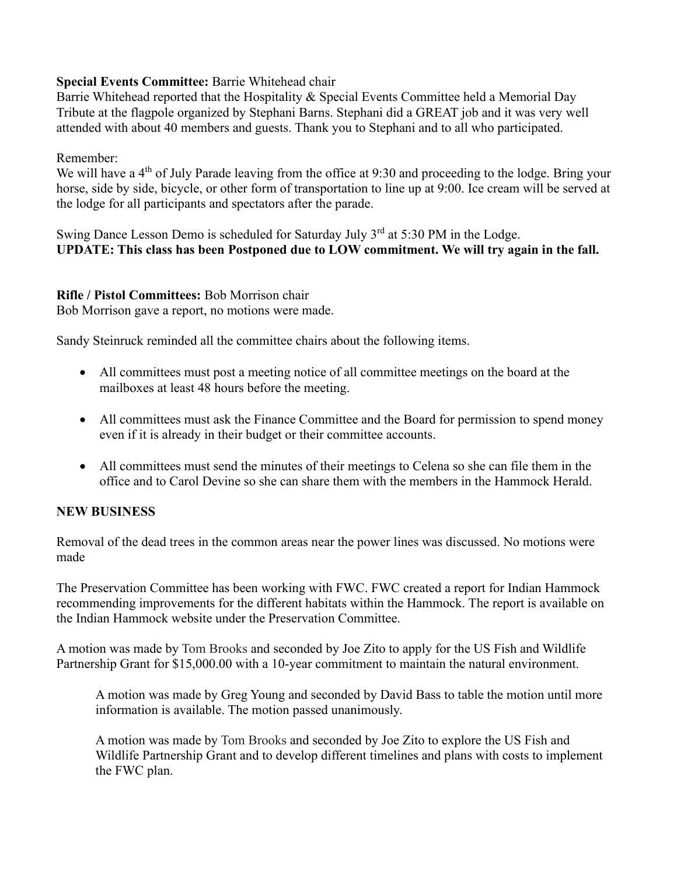## **Special Events Committee:** Barrie Whitehead chair

Barrie Whitehead reported that the Hospitality & Special Events Committee held a Memorial Day Tribute at the flagpole organized by Stephani Barns. Stephani did a GREAT job and it was very well attended with about 40 members and guests. Thank you to Stephani and to all who participated.

## Remember:

We will have a 4<sup>th</sup> of July Parade leaving from the office at 9:30 and proceeding to the lodge. Bring your horse, side by side, bicycle, or other form of transportation to line up at 9:00. Ice cream will be served at the lodge for all participants and spectators after the parade.

Swing Dance Lesson Demo is scheduled for Saturday July  $3<sup>rd</sup>$  at 5:30 PM in the Lodge. **UPDATE: This class has been Postponed due to LOW commitment. We will try again in the fall.**

## **Rifle / Pistol Committees:** Bob Morrison chair

Bob Morrison gave a report, no motions were made.

Sandy Steinruck reminded all the committee chairs about the following items.

- All committees must post a meeting notice of all committee meetings on the board at the mailboxes at least 48 hours before the meeting.
- All committees must ask the Finance Committee and the Board for permission to spend money even if it is already in their budget or their committee accounts.
- All committees must send the minutes of their meetings to Celena so she can file them in the office and to Carol Devine so she can share them with the members in the Hammock Herald.

# **NEW BUSINESS**

Removal of the dead trees in the common areas near the power lines was discussed. No motions were made

The Preservation Committee has been working with FWC. FWC created a report for Indian Hammock recommending improvements for the different habitats within the Hammock. The report is available on the Indian Hammock website under the Preservation Committee.

A motion was made by Tom Brooks and seconded by Joe Zito to apply for the US Fish and Wildlife Partnership Grant for \$15,000.00 with a 10-year commitment to maintain the natural environment.

A motion was made by Greg Young and seconded by David Bass to table the motion until more information is available. The motion passed unanimously.

A motion was made by Tom Brooks and seconded by Joe Zito to explore the US Fish and Wildlife Partnership Grant and to develop different timelines and plans with costs to implement the FWC plan.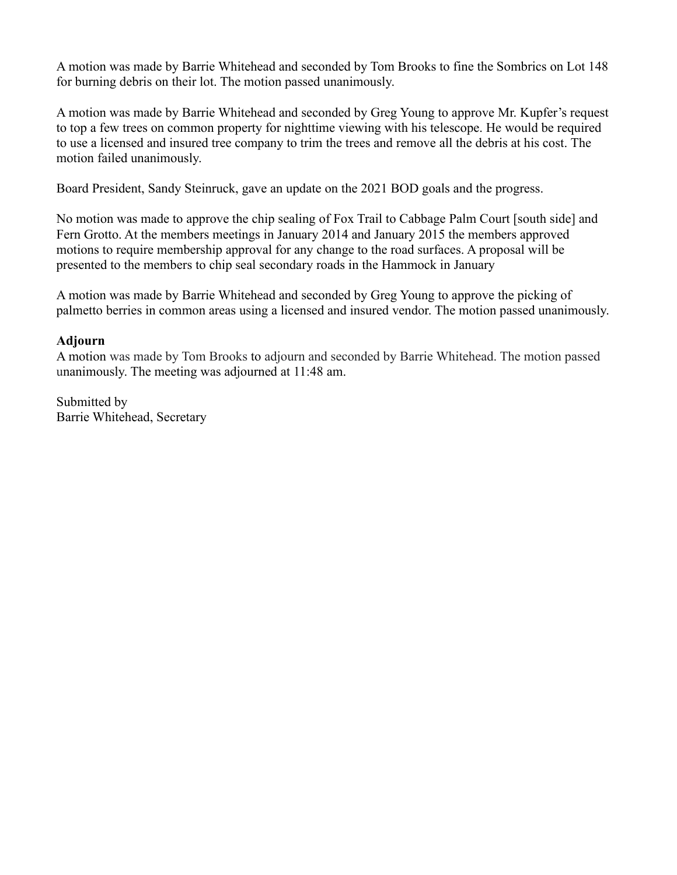A motion was made by Barrie Whitehead and seconded by Tom Brooks to fine the Sombrics on Lot 148 for burning debris on their lot. The motion passed unanimously.

A motion was made by Barrie Whitehead and seconded by Greg Young to approve Mr. Kupfer's request to top a few trees on common property for nighttime viewing with his telescope. He would be required to use a licensed and insured tree company to trim the trees and remove all the debris at his cost. The motion failed unanimously.

Board President, Sandy Steinruck, gave an update on the 2021 BOD goals and the progress.

No motion was made to approve the chip sealing of Fox Trail to Cabbage Palm Court [south side] and Fern Grotto. At the members meetings in January 2014 and January 2015 the members approved motions to require membership approval for any change to the road surfaces. A proposal will be presented to the members to chip seal secondary roads in the Hammock in January

A motion was made by Barrie Whitehead and seconded by Greg Young to approve the picking of palmetto berries in common areas using a licensed and insured vendor. The motion passed unanimously.

#### **Adjourn**

A motion was made by Tom Brooks to adjourn and seconded by Barrie Whitehead. The motion passed unanimously. The meeting was adjourned at 11:48 am.

Submitted by Barrie Whitehead, Secretary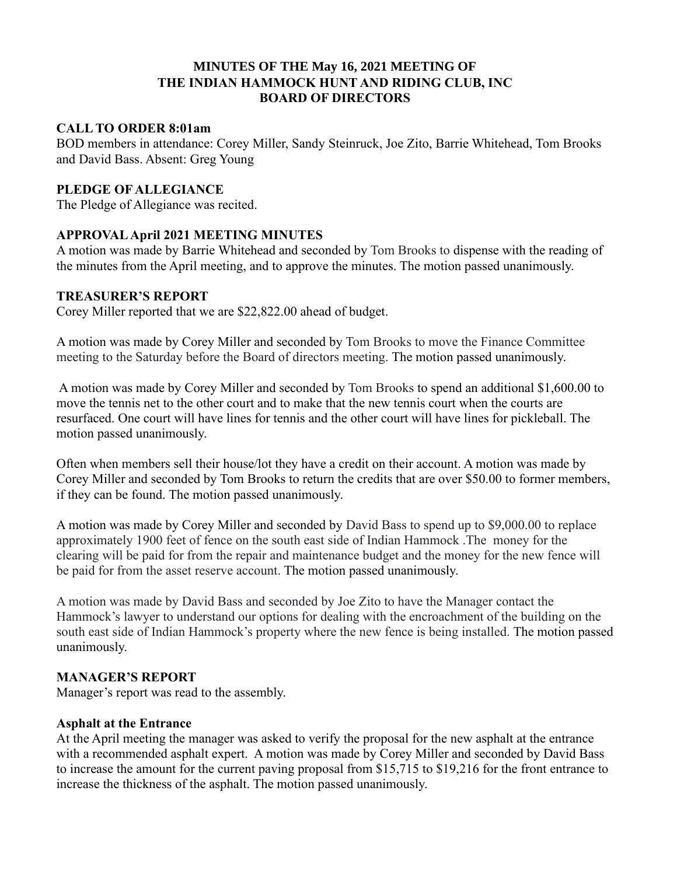#### **MINUTES OF THE May 16, 2021 MEETING OF THE INDIAN HAMMOCK HUNT AND RIDING CLUB, INC BOARD OF DIRECTORS**

#### **CALL TO ORDER 8:01am**

BOD members in attendance: Corey Miller, Sandy Steinruck, Joe Zito, Barrie Whitehead, Tom Brooks and David Bass. Absent: Greg Young

## **PLEDGE OF ALLEGIANCE**

The Pledge of Allegiance was recited.

## **APPROVAL April 2021 MEETING MINUTES**

A motion was made by Barrie Whitehead and seconded by Tom Brooks to dispense with the reading of the minutes from the April meeting, and to approve the minutes. The motion passed unanimously.

#### **TREASURER'S REPORT**

Corey Miller reported that we are \$22,822.00 ahead of budget.

A motion was made by Corey Miller and seconded by Tom Brooks to move the Finance Committee meeting to the Saturday before the Board of directors meeting. The motion passed unanimously.

A motion was made by Corey Miller and seconded by Tom Brooks to spend an additional \$1,600.00 to move the tennis net to the other court and to make that the new tennis court when the courts are resurfaced. One court will have lines for tennis and the other court will have lines for pickleball. The motion passed unanimously.

Often when members sell their house/lot they have a credit on their account. A motion was made by Corey Miller and seconded by Tom Brooks to return the credits that are over \$50.00 to former members, if they can be found. The motion passed unanimously.

A motion was made by Corey Miller and seconded by David Bass to spend up to \$9,000.00 to replace approximately 1900 feet of fence on the south east side of Indian Hammock .The money for the clearing will be paid for from the repair and maintenance budget and the money for the new fence will be paid for from the asset reserve account. The motion passed unanimously.

A motion was made by David Bass and seconded by Joe Zito to have the Manager contact the Hammock's lawyer to understand our options for dealing with the encroachment of the building on the south east side of Indian Hammock's property where the new fence is being installed. The motion passed unanimously.

## **MANAGER'S REPORT**

Manager's report was read to the assembly.

## **Asphalt at the Entrance**

At the April meeting the manager was asked to verify the proposal for the new asphalt at the entrance with a recommended asphalt expert. A motion was made by Corey Miller and seconded by David Bass to increase the amount for the current paving proposal from \$15,715 to \$19,216 for the front entrance to increase the thickness of the asphalt. The motion passed unanimously.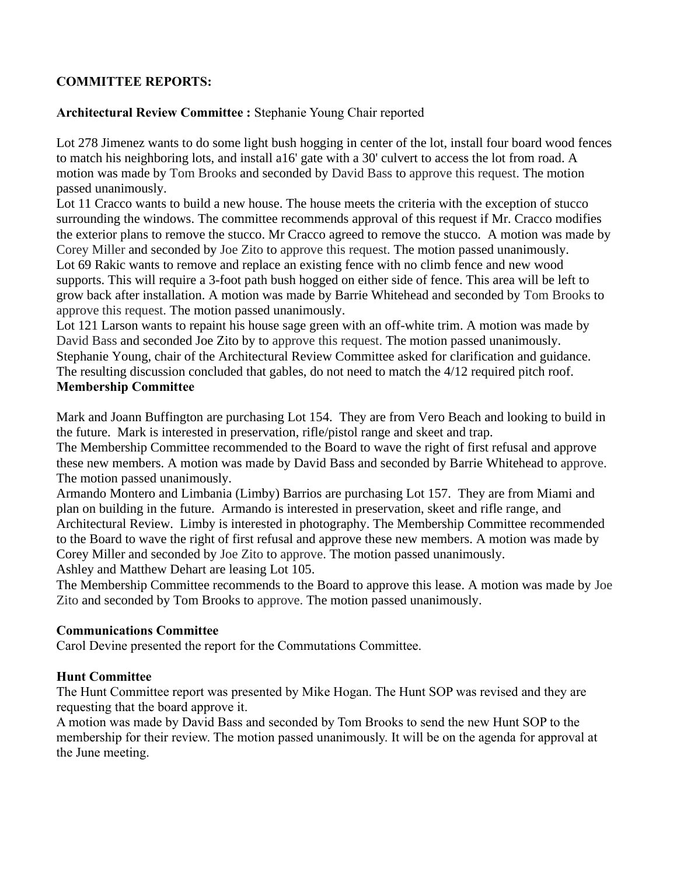## **COMMITTEE REPORTS:**

## **Architectural Review Committee :** Stephanie Young Chair reported

Lot 278 Jimenez wants to do some light bush hogging in center of the lot, install four board wood fences to match his neighboring lots, and install a16' gate with a 30' culvert to access the lot from road. A motion was made by Tom Brooks and seconded by David Bass to approve this request. The motion passed unanimously.

Lot 11 Cracco wants to build a new house. The house meets the criteria with the exception of stucco surrounding the windows. The committee recommends approval of this request if Mr. Cracco modifies the exterior plans to remove the stucco. Mr Cracco agreed to remove the stucco. A motion was made by Corey Miller and seconded by Joe Zito to approve this request. The motion passed unanimously. Lot 69 Rakic wants to remove and replace an existing fence with no climb fence and new wood supports. This will require a 3-foot path bush hogged on either side of fence. This area will be left to grow back after installation. A motion was made by Barrie Whitehead and seconded by Tom Brooks to approve this request. The motion passed unanimously.

Lot 121 Larson wants to repaint his house sage green with an off-white trim. A motion was made by David Bass and seconded Joe Zito by to approve this request. The motion passed unanimously. Stephanie Young, chair of the Architectural Review Committee asked for clarification and guidance. The resulting discussion concluded that gables, do not need to match the 4/12 required pitch roof. **Membership Committee**

Mark and Joann Buffington are purchasing Lot 154. They are from Vero Beach and looking to build in the future. Mark is interested in preservation, rifle/pistol range and skeet and trap.

The Membership Committee recommended to the Board to wave the right of first refusal and approve these new members. A motion was made by David Bass and seconded by Barrie Whitehead to approve. The motion passed unanimously.

Armando Montero and Limbania (Limby) Barrios are purchasing Lot 157. They are from Miami and plan on building in the future. Armando is interested in preservation, skeet and rifle range, and Architectural Review. Limby is interested in photography. The Membership Committee recommended to the Board to wave the right of first refusal and approve these new members. A motion was made by Corey Miller and seconded by Joe Zito to approve. The motion passed unanimously.

Ashley and Matthew Dehart are leasing Lot 105.

The Membership Committee recommends to the Board to approve this lease. A motion was made by Joe Zito and seconded by Tom Brooks to approve. The motion passed unanimously.

## **Communications Committee**

Carol Devine presented the report for the Commutations Committee.

## **Hunt Committee**

The Hunt Committee report was presented by Mike Hogan. The Hunt SOP was revised and they are requesting that the board approve it.

A motion was made by David Bass and seconded by Tom Brooks to send the new Hunt SOP to the membership for their review. The motion passed unanimously. It will be on the agenda for approval at the June meeting.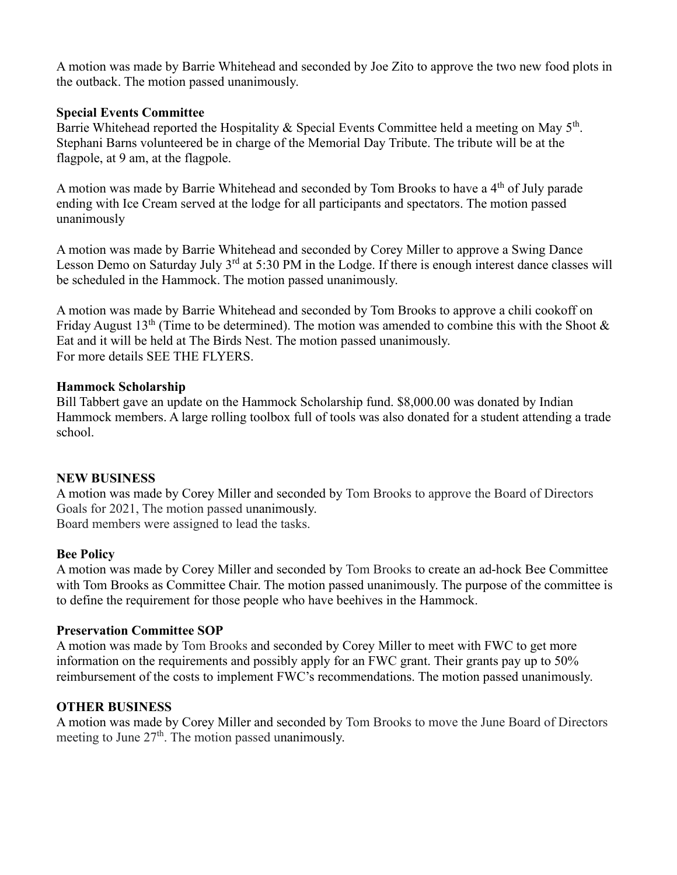A motion was made by Barrie Whitehead and seconded by Joe Zito to approve the two new food plots in the outback. The motion passed unanimously.

#### **Special Events Committee**

Barrie Whitehead reported the Hospitality & Special Events Committee held a meeting on May  $5<sup>th</sup>$ . Stephani Barns volunteered be in charge of the Memorial Day Tribute. The tribute will be at the flagpole, at 9 am, at the flagpole.

A motion was made by Barrie Whitehead and seconded by Tom Brooks to have a 4<sup>th</sup> of July parade ending with Ice Cream served at the lodge for all participants and spectators. The motion passed unanimously

A motion was made by Barrie Whitehead and seconded by Corey Miller to approve a Swing Dance Lesson Demo on Saturday July  $3^{rd}$  at 5:30 PM in the Lodge. If there is enough interest dance classes will be scheduled in the Hammock. The motion passed unanimously.

A motion was made by Barrie Whitehead and seconded by Tom Brooks to approve a chili cookoff on Friday August 13<sup>th</sup> (Time to be determined). The motion was amended to combine this with the Shoot  $\&$ Eat and it will be held at The Birds Nest. The motion passed unanimously. For more details SEE THE FLYERS.

#### **Hammock Scholarship**

Bill Tabbert gave an update on the Hammock Scholarship fund. \$8,000.00 was donated by Indian Hammock members. A large rolling toolbox full of tools was also donated for a student attending a trade school.

#### **NEW BUSINESS**

A motion was made by Corey Miller and seconded by Tom Brooks to approve the Board of Directors Goals for 2021, The motion passed unanimously. Board members were assigned to lead the tasks.

## **Bee Policy**

A motion was made by Corey Miller and seconded by Tom Brooks to create an ad-hock Bee Committee with Tom Brooks as Committee Chair. The motion passed unanimously. The purpose of the committee is to define the requirement for those people who have beehives in the Hammock.

## **Preservation Committee SOP**

A motion was made by Tom Brooks and seconded by Corey Miller to meet with FWC to get more information on the requirements and possibly apply for an FWC grant. Their grants pay up to 50% reimbursement of the costs to implement FWC's recommendations. The motion passed unanimously.

## **OTHER BUSINESS**

A motion was made by Corey Miller and seconded by Tom Brooks to move the June Board of Directors meeting to June  $27<sup>th</sup>$ . The motion passed unanimously.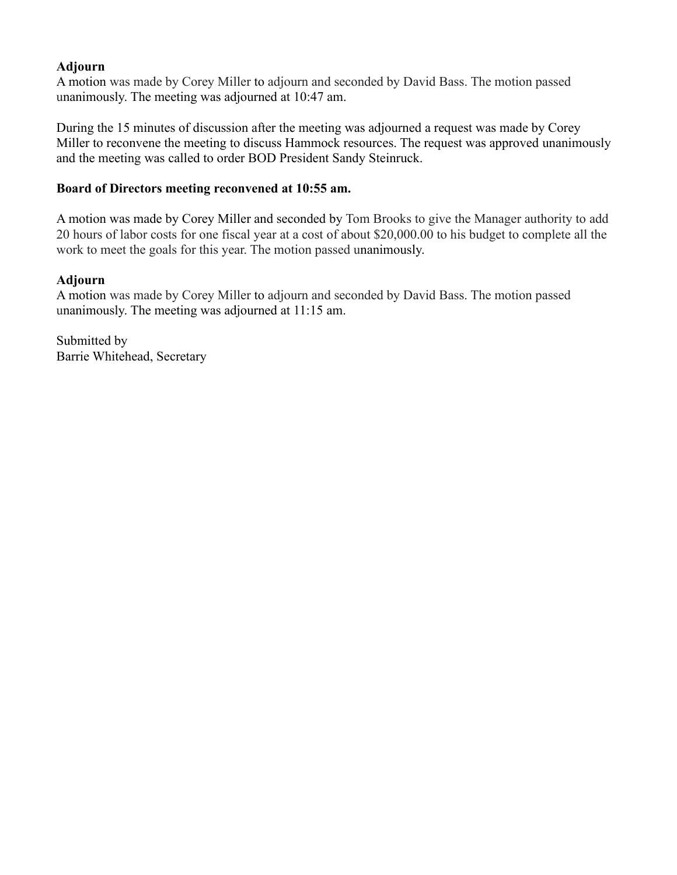## **Adjourn**

A motion was made by Corey Miller to adjourn and seconded by David Bass. The motion passed unanimously. The meeting was adjourned at 10:47 am.

During the 15 minutes of discussion after the meeting was adjourned a request was made by Corey Miller to reconvene the meeting to discuss Hammock resources. The request was approved unanimously and the meeting was called to order BOD President Sandy Steinruck.

#### **Board of Directors meeting reconvened at 10:55 am.**

A motion was made by Corey Miller and seconded by Tom Brooks to give the Manager authority to add 20 hours of labor costs for one fiscal year at a cost of about \$20,000.00 to his budget to complete all the work to meet the goals for this year. The motion passed unanimously.

#### **Adjourn**

A motion was made by Corey Miller to adjourn and seconded by David Bass. The motion passed unanimously. The meeting was adjourned at 11:15 am.

Submitted by Barrie Whitehead, Secretary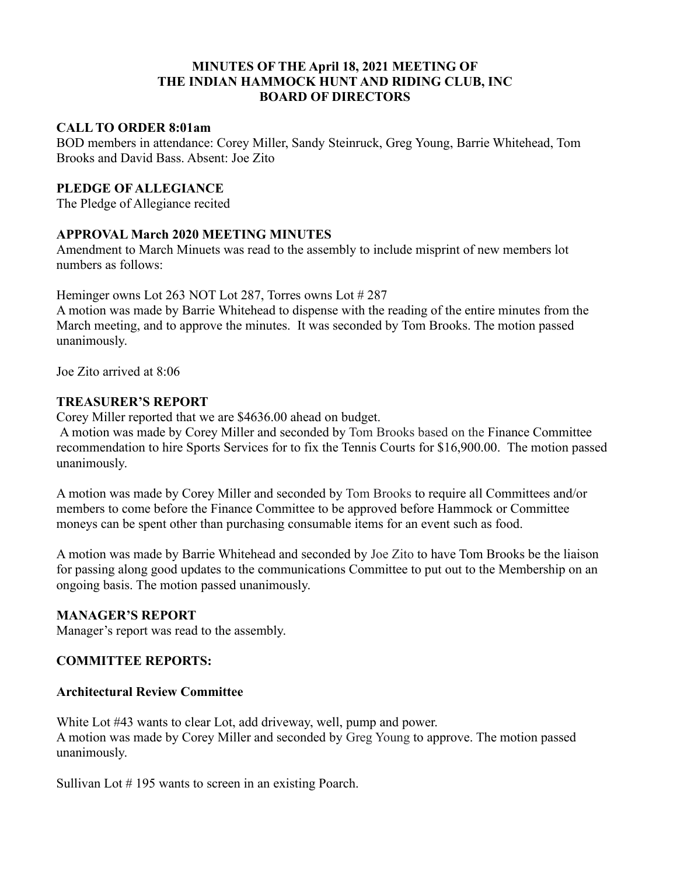#### **MINUTES OF THE April 18, 2021 MEETING OF THE INDIAN HAMMOCK HUNT AND RIDING CLUB, INC BOARD OF DIRECTORS**

#### **CALL TO ORDER 8:01am**

BOD members in attendance: Corey Miller, Sandy Steinruck, Greg Young, Barrie Whitehead, Tom Brooks and David Bass. Absent: Joe Zito

#### **PLEDGE OF ALLEGIANCE**

The Pledge of Allegiance recited

## **APPROVAL March 2020 MEETING MINUTES**

Amendment to March Minuets was read to the assembly to include misprint of new members lot numbers as follows:

Heminger owns Lot 263 NOT Lot 287, Torres owns Lot # 287

A motion was made by Barrie Whitehead to dispense with the reading of the entire minutes from the March meeting, and to approve the minutes. It was seconded by Tom Brooks. The motion passed unanimously.

Joe Zito arrived at 8:06

#### **TREASURER'S REPORT**

Corey Miller reported that we are \$4636.00 ahead on budget.

A motion was made by Corey Miller and seconded by Tom Brooks based on the Finance Committee recommendation to hire Sports Services for to fix the Tennis Courts for \$16,900.00. The motion passed unanimously.

A motion was made by Corey Miller and seconded by Tom Brooks to require all Committees and/or members to come before the Finance Committee to be approved before Hammock or Committee moneys can be spent other than purchasing consumable items for an event such as food.

A motion was made by Barrie Whitehead and seconded by Joe Zito to have Tom Brooks be the liaison for passing along good updates to the communications Committee to put out to the Membership on an ongoing basis. The motion passed unanimously.

## **MANAGER'S REPORT**

Manager's report was read to the assembly.

## **COMMITTEE REPORTS:**

#### **Architectural Review Committee**

White Lot #43 wants to clear Lot, add driveway, well, pump and power. A motion was made by Corey Miller and seconded by Greg Young to approve. The motion passed unanimously.

Sullivan Lot # 195 wants to screen in an existing Poarch.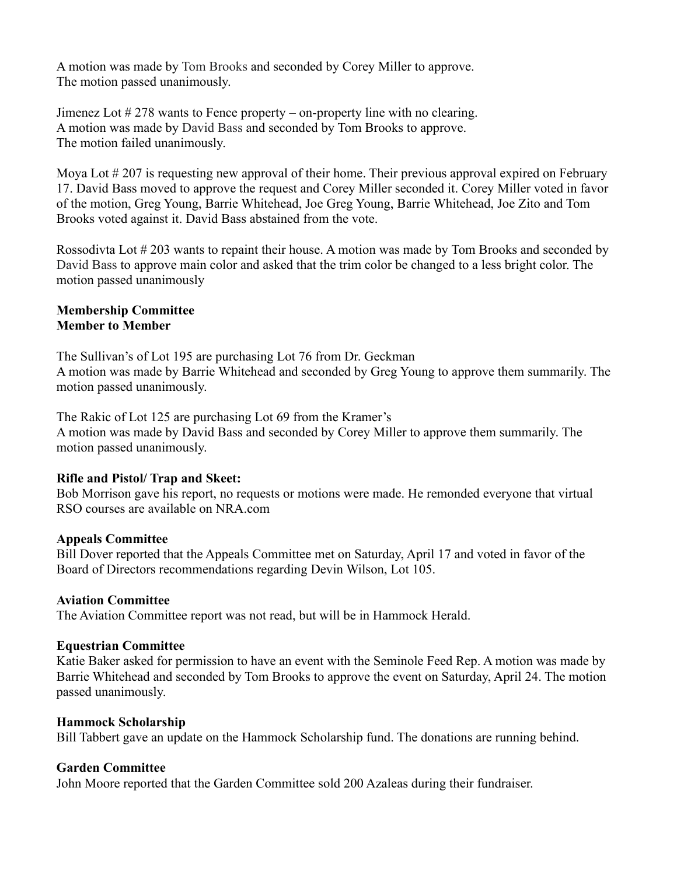A motion was made by Tom Brooks and seconded by Corey Miller to approve. The motion passed unanimously.

Jimenez Lot # 278 wants to Fence property – on-property line with no clearing. A motion was made by David Bass and seconded by Tom Brooks to approve. The motion failed unanimously.

Moya Lot # 207 is requesting new approval of their home. Their previous approval expired on February 17. David Bass moved to approve the request and Corey Miller seconded it. Corey Miller voted in favor of the motion, Greg Young, Barrie Whitehead, Joe Greg Young, Barrie Whitehead, Joe Zito and Tom Brooks voted against it. David Bass abstained from the vote.

Rossodivta Lot # 203 wants to repaint their house. A motion was made by Tom Brooks and seconded by David Bass to approve main color and asked that the trim color be changed to a less bright color. The motion passed unanimously

#### **Membership Committee Member to Member**

The Sullivan's of Lot 195 are purchasing Lot 76 from Dr. Geckman A motion was made by Barrie Whitehead and seconded by Greg Young to approve them summarily. The motion passed unanimously.

The Rakic of Lot 125 are purchasing Lot 69 from the Kramer's A motion was made by David Bass and seconded by Corey Miller to approve them summarily. The motion passed unanimously.

## **Rifle and Pistol/ Trap and Skeet:**

Bob Morrison gave his report, no requests or motions were made. He remonded everyone that virtual RSO courses are available on NRA.com

#### **Appeals Committee**

Bill Dover reported that the Appeals Committee met on Saturday, April 17 and voted in favor of the Board of Directors recommendations regarding Devin Wilson, Lot 105.

#### **Aviation Committee**

The Aviation Committee report was not read, but will be in Hammock Herald.

#### **Equestrian Committee**

Katie Baker asked for permission to have an event with the Seminole Feed Rep. A motion was made by Barrie Whitehead and seconded by Tom Brooks to approve the event on Saturday, April 24. The motion passed unanimously.

#### **Hammock Scholarship**

Bill Tabbert gave an update on the Hammock Scholarship fund. The donations are running behind.

#### **Garden Committee**

John Moore reported that the Garden Committee sold 200 Azaleas during their fundraiser.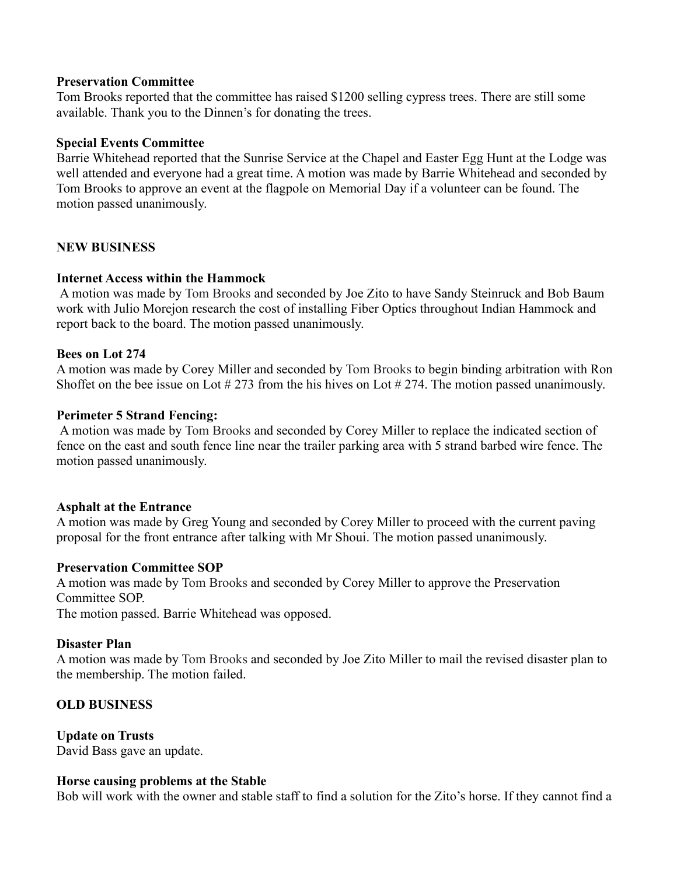#### **Preservation Committee**

Tom Brooks reported that the committee has raised \$1200 selling cypress trees. There are still some available. Thank you to the Dinnen's for donating the trees.

#### **Special Events Committee**

Barrie Whitehead reported that the Sunrise Service at the Chapel and Easter Egg Hunt at the Lodge was well attended and everyone had a great time. A motion was made by Barrie Whitehead and seconded by Tom Brooks to approve an event at the flagpole on Memorial Day if a volunteer can be found. The motion passed unanimously.

#### **NEW BUSINESS**

#### **Internet Access within the Hammock**

A motion was made by Tom Brooks and seconded by Joe Zito to have Sandy Steinruck and Bob Baum work with Julio Morejon research the cost of installing Fiber Optics throughout Indian Hammock and report back to the board. The motion passed unanimously.

#### **Bees on Lot 274**

A motion was made by Corey Miller and seconded by Tom Brooks to begin binding arbitration with Ron Shoffet on the bee issue on Lot # 273 from the his hives on Lot # 274. The motion passed unanimously.

#### **Perimeter 5 Strand Fencing:**

A motion was made by Tom Brooks and seconded by Corey Miller to replace the indicated section of fence on the east and south fence line near the trailer parking area with 5 strand barbed wire fence. The motion passed unanimously.

#### **Asphalt at the Entrance**

A motion was made by Greg Young and seconded by Corey Miller to proceed with the current paving proposal for the front entrance after talking with Mr Shoui. The motion passed unanimously.

#### **Preservation Committee SOP**

A motion was made by Tom Brooks and seconded by Corey Miller to approve the Preservation Committee SOP.

The motion passed. Barrie Whitehead was opposed.

#### **Disaster Plan**

A motion was made by Tom Brooks and seconded by Joe Zito Miller to mail the revised disaster plan to the membership. The motion failed.

## **OLD BUSINESS**

#### **Update on Trusts**

David Bass gave an update.

#### **Horse causing problems at the Stable**

Bob will work with the owner and stable staff to find a solution for the Zito's horse. If they cannot find a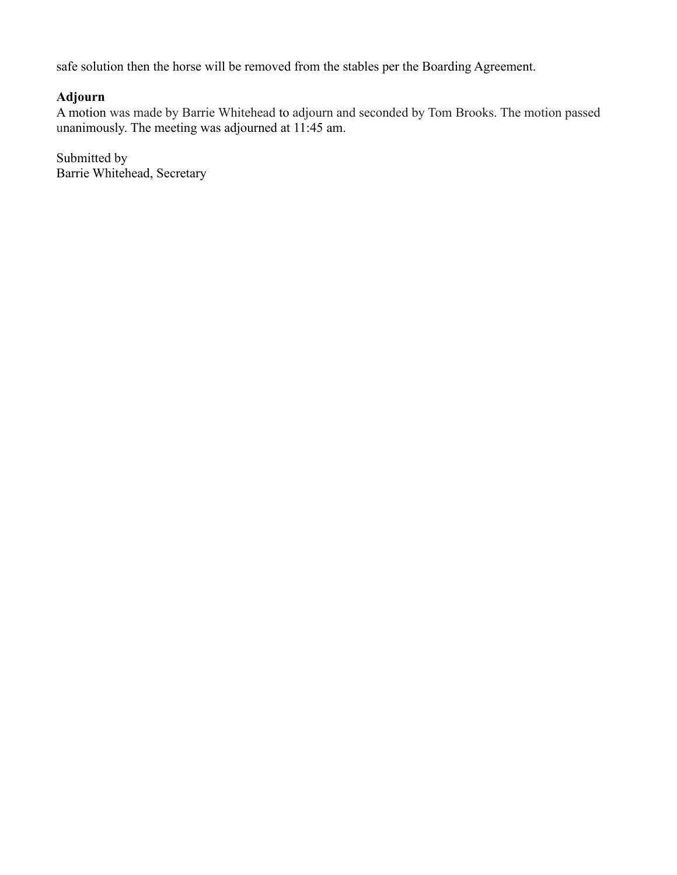safe solution then the horse will be removed from the stables per the Boarding Agreement.

## **Adjourn**

A motion was made by Barrie Whitehead to adjourn and seconded by Tom Brooks. The motion passed unanimously. The meeting was adjourned at 11:45 am.

Submitted by Barrie Whitehead, Secretary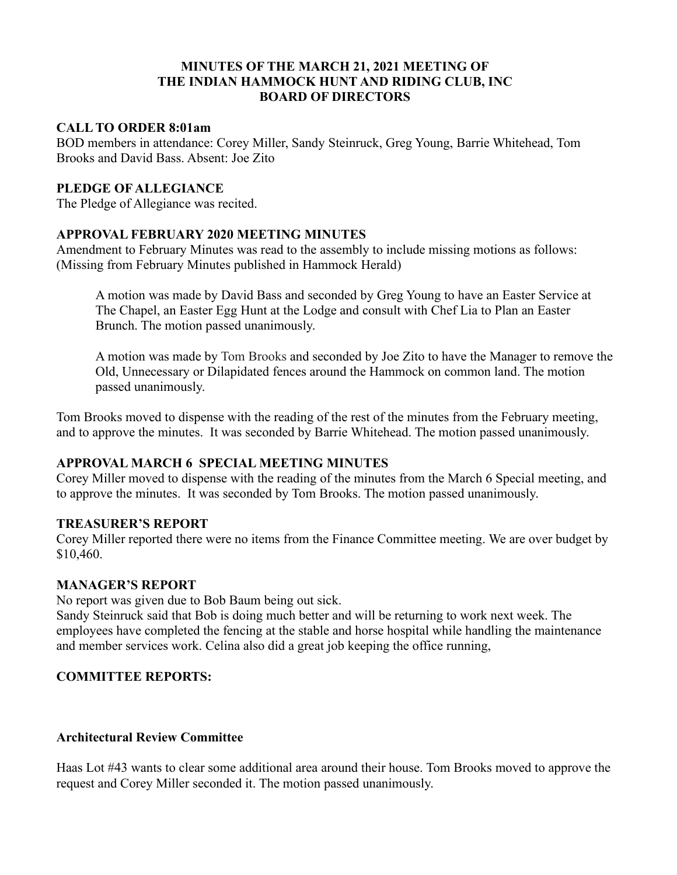#### **MINUTES OF THE MARCH 21, 2021 MEETING OF THE INDIAN HAMMOCK HUNT AND RIDING CLUB, INC BOARD OF DIRECTORS**

#### **CALL TO ORDER 8:01am**

BOD members in attendance: Corey Miller, Sandy Steinruck, Greg Young, Barrie Whitehead, Tom Brooks and David Bass. Absent: Joe Zito

## **PLEDGE OF ALLEGIANCE**

The Pledge of Allegiance was recited.

## **APPROVAL FEBRUARY 2020 MEETING MINUTES**

Amendment to February Minutes was read to the assembly to include missing motions as follows: (Missing from February Minutes published in Hammock Herald)

A motion was made by David Bass and seconded by Greg Young to have an Easter Service at The Chapel, an Easter Egg Hunt at the Lodge and consult with Chef Lia to Plan an Easter Brunch. The motion passed unanimously.

A motion was made by Tom Brooks and seconded by Joe Zito to have the Manager to remove the Old, Unnecessary or Dilapidated fences around the Hammock on common land. The motion passed unanimously.

Tom Brooks moved to dispense with the reading of the rest of the minutes from the February meeting, and to approve the minutes. It was seconded by Barrie Whitehead. The motion passed unanimously.

## **APPROVAL MARCH 6 SPECIAL MEETING MINUTES**

Corey Miller moved to dispense with the reading of the minutes from the March 6 Special meeting, and to approve the minutes. It was seconded by Tom Brooks. The motion passed unanimously.

## **TREASURER'S REPORT**

Corey Miller reported there were no items from the Finance Committee meeting. We are over budget by \$10,460.

#### **MANAGER'S REPORT**

No report was given due to Bob Baum being out sick.

Sandy Steinruck said that Bob is doing much better and will be returning to work next week. The employees have completed the fencing at the stable and horse hospital while handling the maintenance and member services work. Celina also did a great job keeping the office running,

## **COMMITTEE REPORTS:**

#### **Architectural Review Committee**

Haas Lot #43 wants to clear some additional area around their house. Tom Brooks moved to approve the request and Corey Miller seconded it. The motion passed unanimously.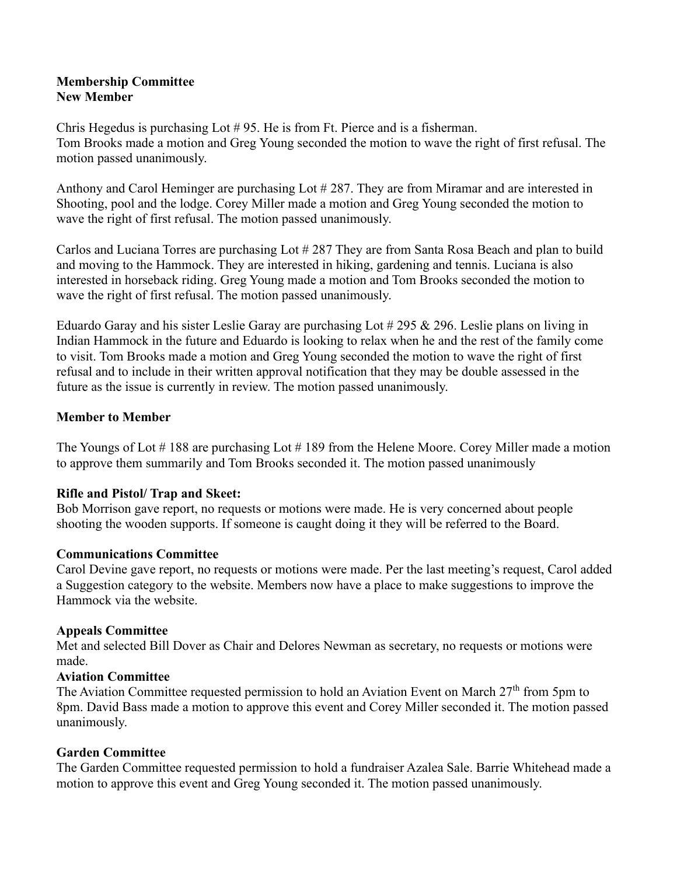#### **Membership Committee New Member**

Chris Hegedus is purchasing Lot # 95. He is from Ft. Pierce and is a fisherman. Tom Brooks made a motion and Greg Young seconded the motion to wave the right of first refusal. The motion passed unanimously.

Anthony and Carol Heminger are purchasing Lot #287. They are from Miramar and are interested in Shooting, pool and the lodge. Corey Miller made a motion and Greg Young seconded the motion to wave the right of first refusal. The motion passed unanimously.

Carlos and Luciana Torres are purchasing Lot # 287 They are from Santa Rosa Beach and plan to build and moving to the Hammock. They are interested in hiking, gardening and tennis. Luciana is also interested in horseback riding. Greg Young made a motion and Tom Brooks seconded the motion to wave the right of first refusal. The motion passed unanimously.

Eduardo Garay and his sister Leslie Garay are purchasing Lot # 295 & 296. Leslie plans on living in Indian Hammock in the future and Eduardo is looking to relax when he and the rest of the family come to visit. Tom Brooks made a motion and Greg Young seconded the motion to wave the right of first refusal and to include in their written approval notification that they may be double assessed in the future as the issue is currently in review. The motion passed unanimously.

## **Member to Member**

The Youngs of Lot # 188 are purchasing Lot # 189 from the Helene Moore. Corey Miller made a motion to approve them summarily and Tom Brooks seconded it. The motion passed unanimously

## **Rifle and Pistol/ Trap and Skeet:**

Bob Morrison gave report, no requests or motions were made. He is very concerned about people shooting the wooden supports. If someone is caught doing it they will be referred to the Board.

## **Communications Committee**

Carol Devine gave report, no requests or motions were made. Per the last meeting's request, Carol added a Suggestion category to the website. Members now have a place to make suggestions to improve the Hammock via the website.

## **Appeals Committee**

Met and selected Bill Dover as Chair and Delores Newman as secretary, no requests or motions were made.

## **Aviation Committee**

The Aviation Committee requested permission to hold an Aviation Event on March  $27<sup>th</sup>$  from 5pm to 8pm. David Bass made a motion to approve this event and Corey Miller seconded it. The motion passed unanimously.

# **Garden Committee**

The Garden Committee requested permission to hold a fundraiser Azalea Sale. Barrie Whitehead made a motion to approve this event and Greg Young seconded it. The motion passed unanimously.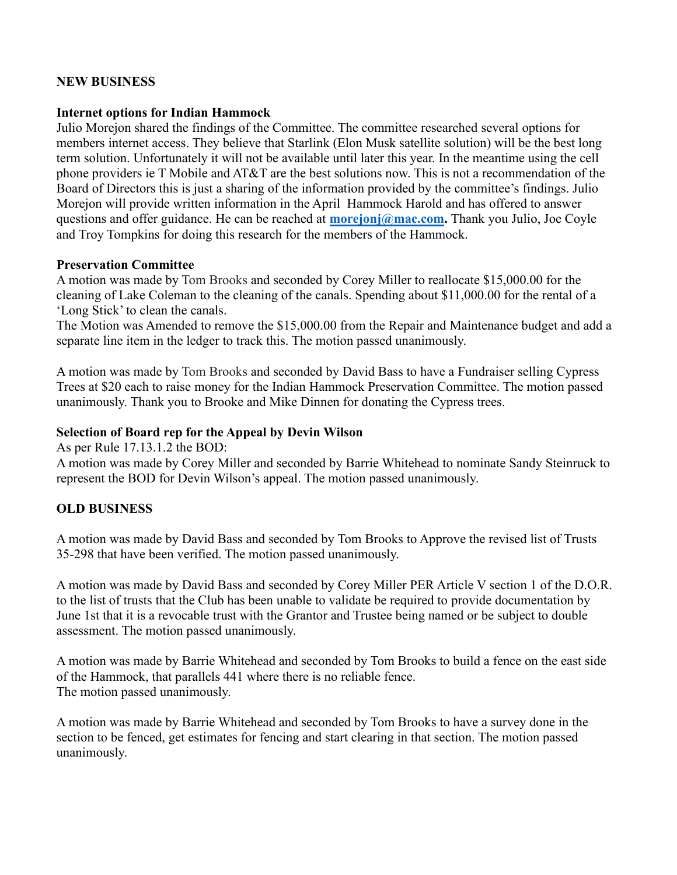#### **NEW BUSINESS**

#### **Internet options for Indian Hammock**

Julio Morejon shared the findings of the Committee. The committee researched several options for members internet access. They believe that Starlink (Elon Musk satellite solution) will be the best long term solution. Unfortunately it will not be available until later this year. In the meantime using the cell phone providers ie T Mobile and AT&T are the best solutions now. This is not a recommendation of the Board of Directors this is just a sharing of the information provided by the committee's findings. Julio Morejon will provide written information in the April Hammock Harold and has offered to answer questions and offer guidance. He can be reached at **[morejonj@mac.com.](mailto:morejonj@mac.com)** Thank you Julio, Joe Coyle and Troy Tompkins for doing this research for the members of the Hammock.

#### **Preservation Committee**

A motion was made by Tom Brooks and seconded by Corey Miller to reallocate \$15,000.00 for the cleaning of Lake Coleman to the cleaning of the canals. Spending about \$11,000.00 for the rental of a 'Long Stick' to clean the canals.

The Motion was Amended to remove the \$15,000.00 from the Repair and Maintenance budget and add a separate line item in the ledger to track this. The motion passed unanimously.

A motion was made by Tom Brooks and seconded by David Bass to have a Fundraiser selling Cypress Trees at \$20 each to raise money for the Indian Hammock Preservation Committee. The motion passed unanimously. Thank you to Brooke and Mike Dinnen for donating the Cypress trees.

#### **Selection of Board rep for the Appeal by Devin Wilson**

As per Rule 17.13.1.2 the BOD:

A motion was made by Corey Miller and seconded by Barrie Whitehead to nominate Sandy Steinruck to represent the BOD for Devin Wilson's appeal. The motion passed unanimously.

# **OLD BUSINESS**

A motion was made by David Bass and seconded by Tom Brooks to Approve the revised list of Trusts 35-298 that have been verified. The motion passed unanimously.

A motion was made by David Bass and seconded by Corey Miller PER Article V section 1 of the D.O.R. to the list of trusts that the Club has been unable to validate be required to provide documentation by June 1st that it is a revocable trust with the Grantor and Trustee being named or be subject to double assessment. The motion passed unanimously.

A motion was made by Barrie Whitehead and seconded by Tom Brooks to build a fence on the east side of the Hammock, that parallels 441 where there is no reliable fence. The motion passed unanimously.

A motion was made by Barrie Whitehead and seconded by Tom Brooks to have a survey done in the section to be fenced, get estimates for fencing and start clearing in that section. The motion passed unanimously.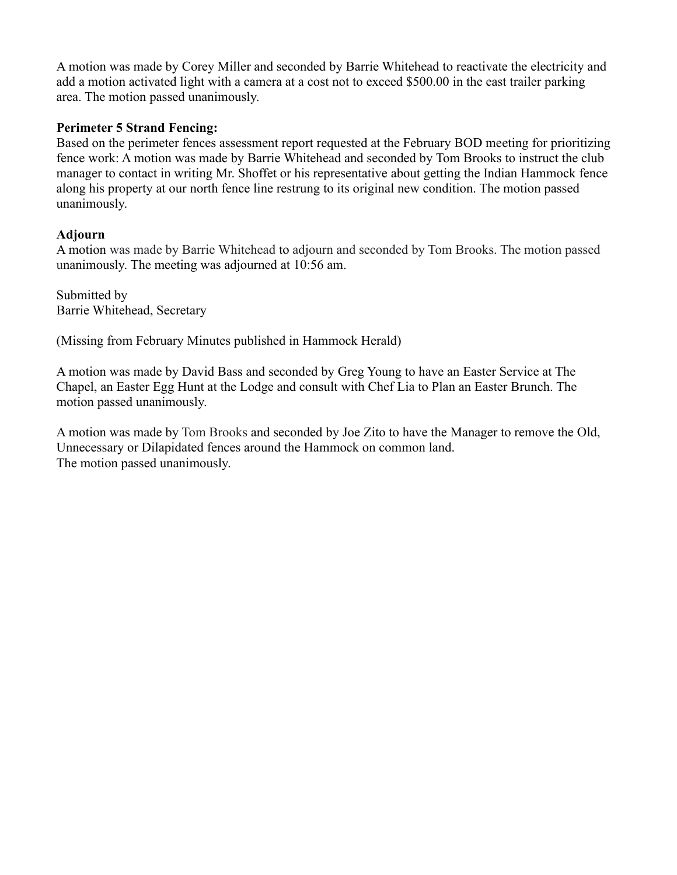A motion was made by Corey Miller and seconded by Barrie Whitehead to reactivate the electricity and add a motion activated light with a camera at a cost not to exceed \$500.00 in the east trailer parking area. The motion passed unanimously.

#### **Perimeter 5 Strand Fencing:**

Based on the perimeter fences assessment report requested at the February BOD meeting for prioritizing fence work: A motion was made by Barrie Whitehead and seconded by Tom Brooks to instruct the club manager to contact in writing Mr. Shoffet or his representative about getting the Indian Hammock fence along his property at our north fence line restrung to its original new condition. The motion passed unanimously.

## **Adjourn**

A motion was made by Barrie Whitehead to adjourn and seconded by Tom Brooks. The motion passed unanimously. The meeting was adjourned at 10:56 am.

Submitted by Barrie Whitehead, Secretary

(Missing from February Minutes published in Hammock Herald)

A motion was made by David Bass and seconded by Greg Young to have an Easter Service at The Chapel, an Easter Egg Hunt at the Lodge and consult with Chef Lia to Plan an Easter Brunch. The motion passed unanimously.

A motion was made by Tom Brooks and seconded by Joe Zito to have the Manager to remove the Old, Unnecessary or Dilapidated fences around the Hammock on common land. The motion passed unanimously.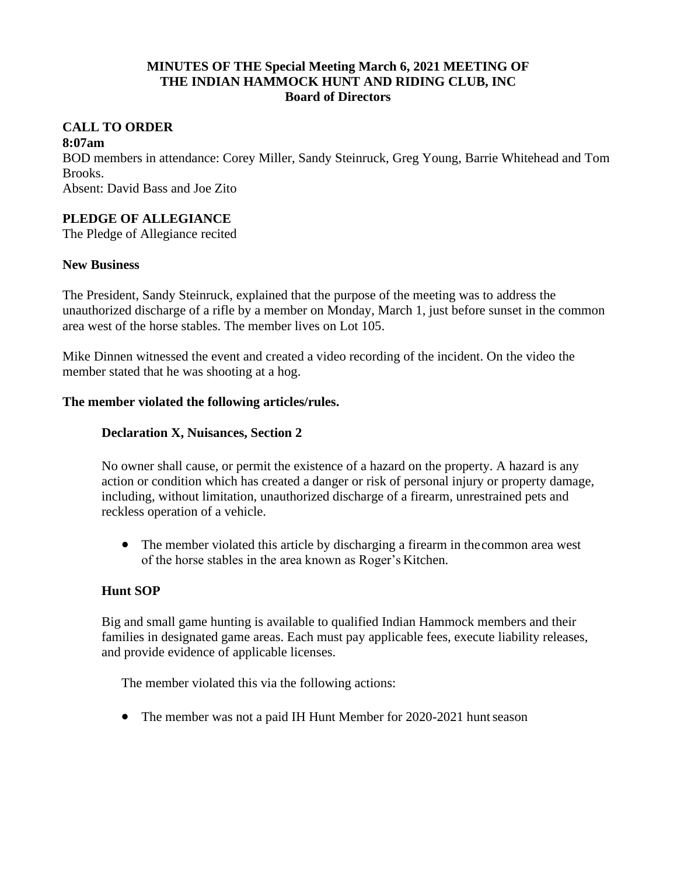#### **MINUTES OF THE Special Meeting March 6, 2021 MEETING OF THE INDIAN HAMMOCK HUNT AND RIDING CLUB, INC Board of Directors**

# **CALL TO ORDER**

#### **8:07am**

BOD members in attendance: Corey Miller, Sandy Steinruck, Greg Young, Barrie Whitehead and Tom Brooks.

Absent: David Bass and Joe Zito

# **PLEDGE OF ALLEGIANCE**

The Pledge of Allegiance recited

#### **New Business**

The President, Sandy Steinruck, explained that the purpose of the meeting was to address the unauthorized discharge of a rifle by a member on Monday, March 1, just before sunset in the common area west of the horse stables. The member lives on Lot 105.

Mike Dinnen witnessed the event and created a video recording of the incident. On the video the member stated that he was shooting at a hog.

#### **The member violated the following articles/rules.**

#### **Declaration X, Nuisances, Section 2**

No owner shall cause, or permit the existence of a hazard on the property. A hazard is any action or condition which has created a danger or risk of personal injury or property damage, including, without limitation, unauthorized discharge of a firearm, unrestrained pets and reckless operation of a vehicle.

• The member violated this article by discharging a firearm in the common area west of the horse stables in the area known as Roger's Kitchen.

## **Hunt SOP**

Big and small game hunting is available to qualified Indian Hammock members and their families in designated game areas. Each must pay applicable fees, execute liability releases, and provide evidence of applicable licenses.

The member violated this via the following actions:

• The member was not a paid IH Hunt Member for 2020-2021 hunt season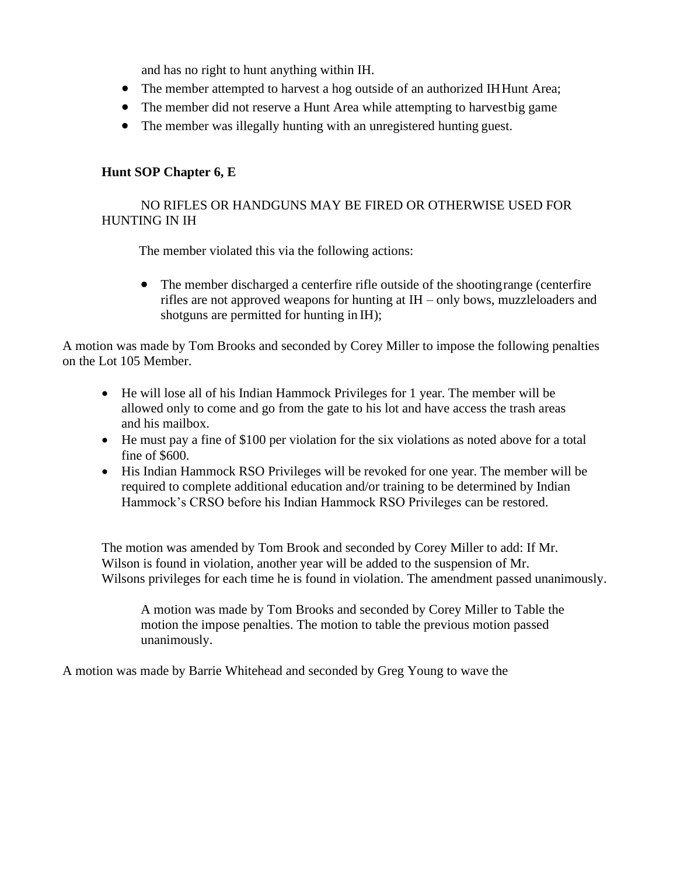and has no right to hunt anything within IH.

- The member attempted to harvest a hog outside of an authorized IHHunt Area;
- The member did not reserve a Hunt Area while attempting to harvest big game
- The member was illegally hunting with an unregistered hunting guest.

## **Hunt SOP Chapter 6, E**

## NO RIFLES OR HANDGUNS MAY BE FIRED OR OTHERWISE USED FOR HUNTING IN IH

The member violated this via the following actions:

• The member discharged a centerfire rifle outside of the shooting range (centerfire rifles are not approved weapons for hunting at IH – only bows, muzzleloaders and shotguns are permitted for hunting in IH);

A motion was made by Tom Brooks and seconded by Corey Miller to impose the following penalties on the Lot 105 Member.

- He will lose all of his Indian Hammock Privileges for 1 year. The member will be allowed only to come and go from the gate to his lot and have access the trash areas and his mailbox.
- He must pay a fine of \$100 per violation for the six violations as noted above for a total fine of \$600.
- His Indian Hammock RSO Privileges will be revoked for one year. The member will be required to complete additional education and/or training to be determined by Indian Hammock's CRSO before his Indian Hammock RSO Privileges can be restored.

The motion was amended by Tom Brook and seconded by Corey Miller to add: If Mr. Wilson is found in violation, another year will be added to the suspension of Mr. Wilsons privileges for each time he is found in violation. The amendment passed unanimously.

A motion was made by Tom Brooks and seconded by Corey Miller to Table the motion the impose penalties. The motion to table the previous motion passed unanimously.

A motion was made by Barrie Whitehead and seconded by Greg Young to wave the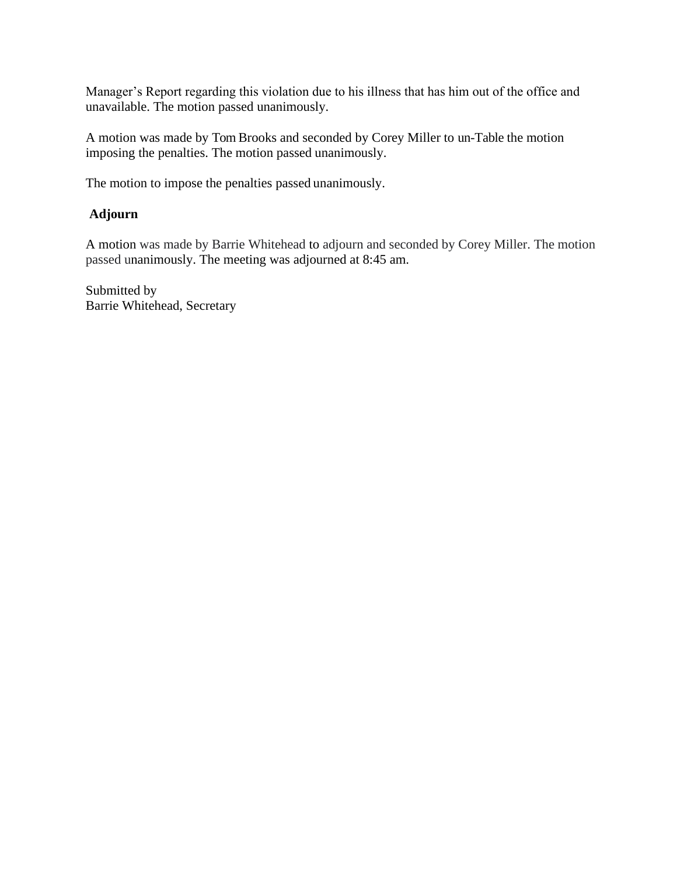Manager's Report regarding this violation due to his illness that has him out of the office and unavailable. The motion passed unanimously.

A motion was made by Tom Brooks and seconded by Corey Miller to un-Table the motion imposing the penalties. The motion passed unanimously.

The motion to impose the penalties passed unanimously.

## **Adjourn**

A motion was made by Barrie Whitehead to adjourn and seconded by Corey Miller. The motion passed unanimously. The meeting was adjourned at 8:45 am.

Submitted by Barrie Whitehead, Secretary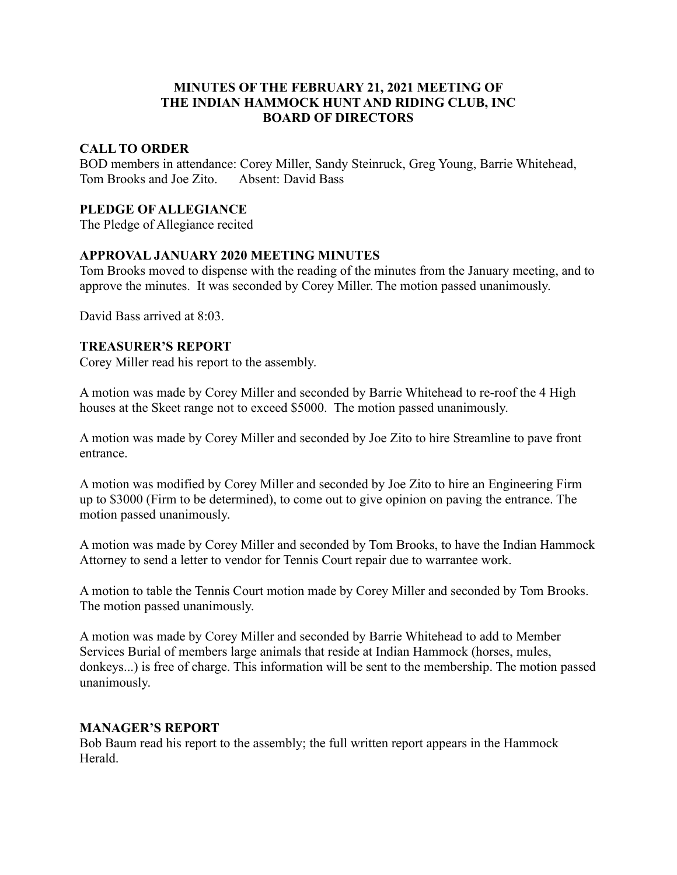#### **MINUTES OF THE FEBRUARY 21, 2021 MEETING OF THE INDIAN HAMMOCK HUNT AND RIDING CLUB, INC BOARD OF DIRECTORS**

#### **CALL TO ORDER**

BOD members in attendance: Corey Miller, Sandy Steinruck, Greg Young, Barrie Whitehead, Tom Brooks and Joe Zito. Absent: David Bass

#### **PLEDGE OF ALLEGIANCE**

The Pledge of Allegiance recited

#### **APPROVAL JANUARY 2020 MEETING MINUTES**

Tom Brooks moved to dispense with the reading of the minutes from the January meeting, and to approve the minutes. It was seconded by Corey Miller. The motion passed unanimously.

David Bass arrived at 8:03.

#### **TREASURER'S REPORT**

Corey Miller read his report to the assembly.

A motion was made by Corey Miller and seconded by Barrie Whitehead to re-roof the 4 High houses at the Skeet range not to exceed \$5000. The motion passed unanimously.

A motion was made by Corey Miller and seconded by Joe Zito to hire Streamline to pave front entrance.

A motion was modified by Corey Miller and seconded by Joe Zito to hire an Engineering Firm up to \$3000 (Firm to be determined), to come out to give opinion on paving the entrance. The motion passed unanimously.

A motion was made by Corey Miller and seconded by Tom Brooks, to have the Indian Hammock Attorney to send a letter to vendor for Tennis Court repair due to warrantee work.

A motion to table the Tennis Court motion made by Corey Miller and seconded by Tom Brooks. The motion passed unanimously.

A motion was made by Corey Miller and seconded by Barrie Whitehead to add to Member Services Burial of members large animals that reside at Indian Hammock (horses, mules, donkeys...) is free of charge. This information will be sent to the membership. The motion passed unanimously.

#### **MANAGER'S REPORT**

Bob Baum read his report to the assembly; the full written report appears in the Hammock Herald.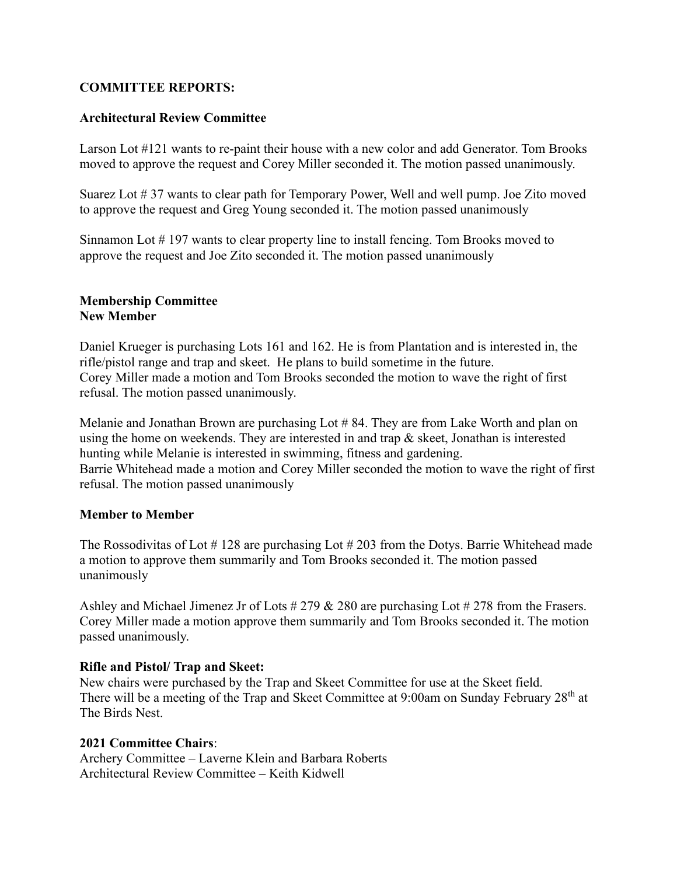## **COMMITTEE REPORTS:**

#### **Architectural Review Committee**

Larson Lot #121 wants to re-paint their house with a new color and add Generator. Tom Brooks moved to approve the request and Corey Miller seconded it. The motion passed unanimously.

Suarez Lot # 37 wants to clear path for Temporary Power, Well and well pump. Joe Zito moved to approve the request and Greg Young seconded it. The motion passed unanimously

Sinnamon Lot # 197 wants to clear property line to install fencing. Tom Brooks moved to approve the request and Joe Zito seconded it. The motion passed unanimously

#### **Membership Committee New Member**

Daniel Krueger is purchasing Lots 161 and 162. He is from Plantation and is interested in, the rifle/pistol range and trap and skeet. He plans to build sometime in the future. Corey Miller made a motion and Tom Brooks seconded the motion to wave the right of first refusal. The motion passed unanimously.

Melanie and Jonathan Brown are purchasing Lot # 84. They are from Lake Worth and plan on using the home on weekends. They are interested in and trap & skeet, Jonathan is interested hunting while Melanie is interested in swimming, fitness and gardening. Barrie Whitehead made a motion and Corey Miller seconded the motion to wave the right of first refusal. The motion passed unanimously

#### **Member to Member**

The Rossodivitas of Lot # 128 are purchasing Lot # 203 from the Dotys. Barrie Whitehead made a motion to approve them summarily and Tom Brooks seconded it. The motion passed unanimously

Ashley and Michael Jimenez Jr of Lots # 279 & 280 are purchasing Lot # 278 from the Frasers. Corey Miller made a motion approve them summarily and Tom Brooks seconded it. The motion passed unanimously.

#### **Rifle and Pistol/ Trap and Skeet:**

New chairs were purchased by the Trap and Skeet Committee for use at the Skeet field. There will be a meeting of the Trap and Skeet Committee at 9:00am on Sunday February 28<sup>th</sup> at The Birds Nest.

#### **2021 Committee Chairs**:

Archery Committee – Laverne Klein and Barbara Roberts Architectural Review Committee – Keith Kidwell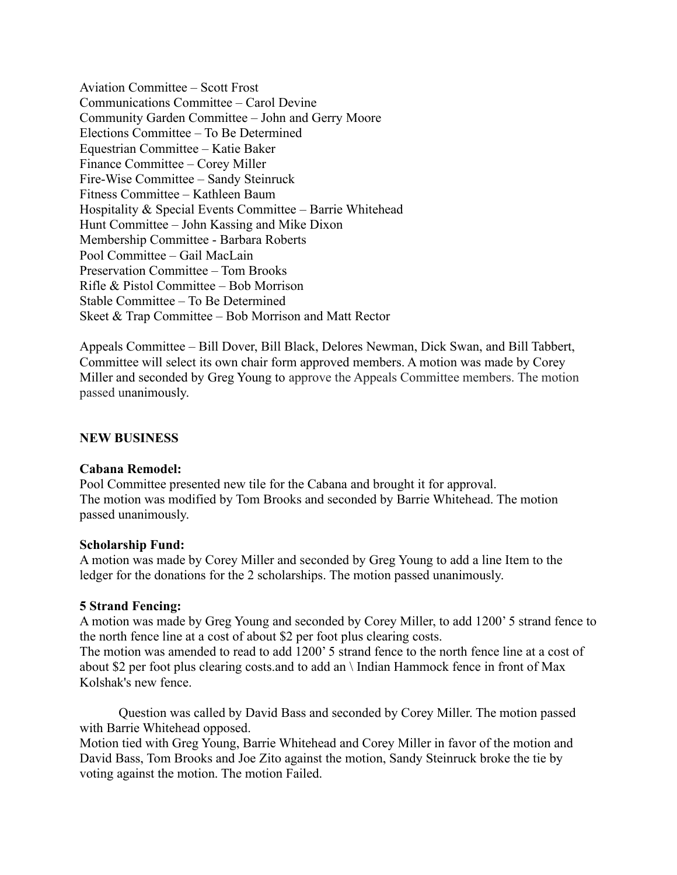Aviation Committee – Scott Frost Communications Committee – Carol Devine Community Garden Committee – John and Gerry Moore Elections Committee – To Be Determined Equestrian Committee – Katie Baker Finance Committee – Corey Miller Fire-Wise Committee – Sandy Steinruck Fitness Committee – Kathleen Baum Hospitality & Special Events Committee – Barrie Whitehead Hunt Committee – John Kassing and Mike Dixon Membership Committee - Barbara Roberts Pool Committee – Gail MacLain Preservation Committee – Tom Brooks Rifle & Pistol Committee – Bob Morrison Stable Committee – To Be Determined Skeet & Trap Committee – Bob Morrison and Matt Rector

Appeals Committee – Bill Dover, Bill Black, Delores Newman, Dick Swan, and Bill Tabbert, Committee will select its own chair form approved members. A motion was made by Corey Miller and seconded by Greg Young to approve the Appeals Committee members. The motion passed unanimously.

#### **NEW BUSINESS**

#### **Cabana Remodel:**

Pool Committee presented new tile for the Cabana and brought it for approval. The motion was modified by Tom Brooks and seconded by Barrie Whitehead. The motion passed unanimously.

#### **Scholarship Fund:**

A motion was made by Corey Miller and seconded by Greg Young to add a line Item to the ledger for the donations for the 2 scholarships. The motion passed unanimously.

#### **5 Strand Fencing:**

A motion was made by Greg Young and seconded by Corey Miller, to add 1200' 5 strand fence to the north fence line at a cost of about \$2 per foot plus clearing costs.

The motion was amended to read to add 1200' 5 strand fence to the north fence line at a cost of about \$2 per foot plus clearing costs.and to add an \ Indian Hammock fence in front of Max Kolshak's new fence.

Question was called by David Bass and seconded by Corey Miller. The motion passed with Barrie Whitehead opposed.

Motion tied with Greg Young, Barrie Whitehead and Corey Miller in favor of the motion and David Bass, Tom Brooks and Joe Zito against the motion, Sandy Steinruck broke the tie by voting against the motion. The motion Failed.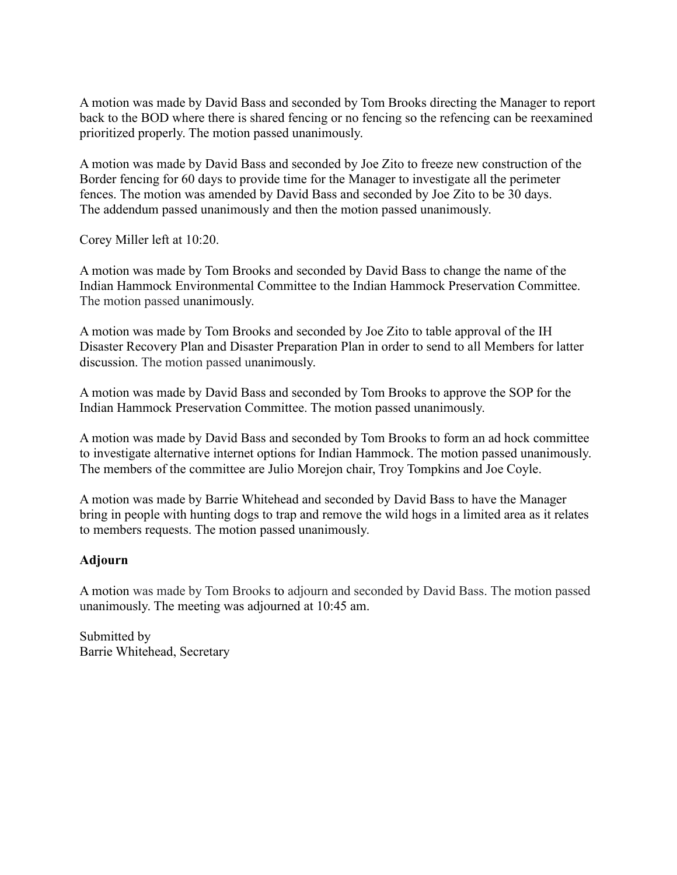A motion was made by David Bass and seconded by Tom Brooks directing the Manager to report back to the BOD where there is shared fencing or no fencing so the refencing can be reexamined prioritized properly. The motion passed unanimously.

A motion was made by David Bass and seconded by Joe Zito to freeze new construction of the Border fencing for 60 days to provide time for the Manager to investigate all the perimeter fences. The motion was amended by David Bass and seconded by Joe Zito to be 30 days. The addendum passed unanimously and then the motion passed unanimously.

Corey Miller left at 10:20.

A motion was made by Tom Brooks and seconded by David Bass to change the name of the Indian Hammock Environmental Committee to the Indian Hammock Preservation Committee. The motion passed unanimously.

A motion was made by Tom Brooks and seconded by Joe Zito to table approval of the IH Disaster Recovery Plan and Disaster Preparation Plan in order to send to all Members for latter discussion. The motion passed unanimously.

A motion was made by David Bass and seconded by Tom Brooks to approve the SOP for the Indian Hammock Preservation Committee. The motion passed unanimously.

A motion was made by David Bass and seconded by Tom Brooks to form an ad hock committee to investigate alternative internet options for Indian Hammock. The motion passed unanimously. The members of the committee are Julio Morejon chair, Troy Tompkins and Joe Coyle.

A motion was made by Barrie Whitehead and seconded by David Bass to have the Manager bring in people with hunting dogs to trap and remove the wild hogs in a limited area as it relates to members requests. The motion passed unanimously.

## **Adjourn**

A motion was made by Tom Brooks to adjourn and seconded by David Bass. The motion passed unanimously. The meeting was adjourned at 10:45 am.

Submitted by Barrie Whitehead, Secretary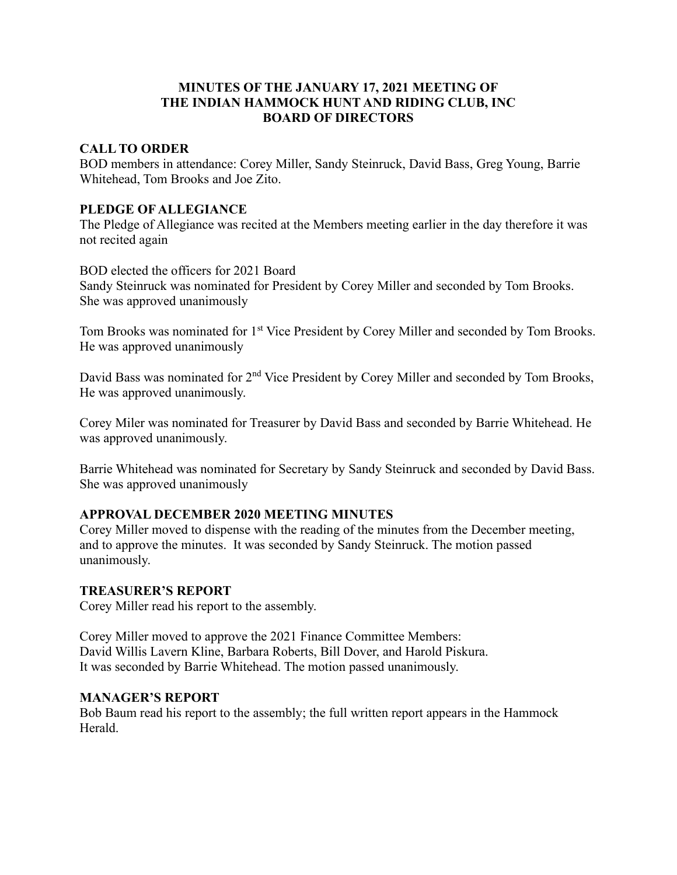## **MINUTES OF THE JANUARY 17, 2021 MEETING OF THE INDIAN HAMMOCK HUNT AND RIDING CLUB, INC BOARD OF DIRECTORS**

#### **CALL TO ORDER**

BOD members in attendance: Corey Miller, Sandy Steinruck, David Bass, Greg Young, Barrie Whitehead, Tom Brooks and Joe Zito.

#### **PLEDGE OF ALLEGIANCE**

The Pledge of Allegiance was recited at the Members meeting earlier in the day therefore it was not recited again

BOD elected the officers for 2021 Board Sandy Steinruck was nominated for President by Corey Miller and seconded by Tom Brooks. She was approved unanimously

Tom Brooks was nominated for 1<sup>st</sup> Vice President by Corey Miller and seconded by Tom Brooks. He was approved unanimously

David Bass was nominated for 2<sup>nd</sup> Vice President by Corey Miller and seconded by Tom Brooks, He was approved unanimously.

Corey Miler was nominated for Treasurer by David Bass and seconded by Barrie Whitehead. He was approved unanimously.

Barrie Whitehead was nominated for Secretary by Sandy Steinruck and seconded by David Bass. She was approved unanimously

## **APPROVAL DECEMBER 2020 MEETING MINUTES**

Corey Miller moved to dispense with the reading of the minutes from the December meeting, and to approve the minutes. It was seconded by Sandy Steinruck. The motion passed unanimously.

#### **TREASURER'S REPORT**

Corey Miller read his report to the assembly.

Corey Miller moved to approve the 2021 Finance Committee Members: David Willis Lavern Kline, Barbara Roberts, Bill Dover, and Harold Piskura. It was seconded by Barrie Whitehead. The motion passed unanimously.

#### **MANAGER'S REPORT**

Bob Baum read his report to the assembly; the full written report appears in the Hammock Herald.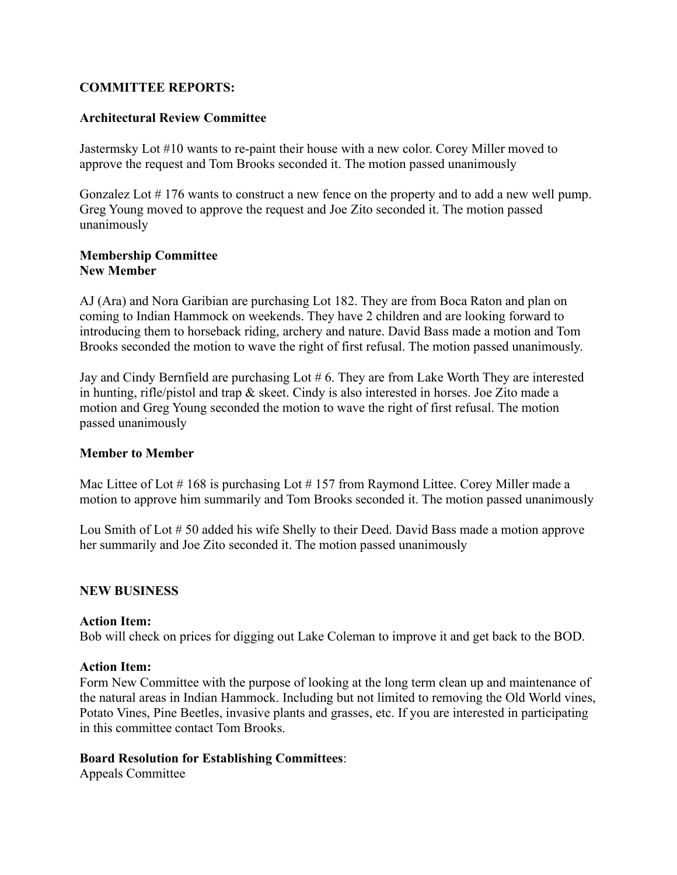#### **COMMITTEE REPORTS:**

#### **Architectural Review Committee**

Jastermsky Lot #10 wants to re-paint their house with a new color. Corey Miller moved to approve the request and Tom Brooks seconded it. The motion passed unanimously

Gonzalez Lot # 176 wants to construct a new fence on the property and to add a new well pump. Greg Young moved to approve the request and Joe Zito seconded it. The motion passed unanimously

#### **Membership Committee New Member**

AJ (Ara) and Nora Garibian are purchasing Lot 182. They are from Boca Raton and plan on coming to Indian Hammock on weekends. They have 2 children and are looking forward to introducing them to horseback riding, archery and nature. David Bass made a motion and Tom Brooks seconded the motion to wave the right of first refusal. The motion passed unanimously.

Jay and Cindy Bernfield are purchasing Lot # 6. They are from Lake Worth They are interested in hunting, rifle/pistol and trap & skeet. Cindy is also interested in horses. Joe Zito made a motion and Greg Young seconded the motion to wave the right of first refusal. The motion passed unanimously

#### **Member to Member**

Mac Littee of Lot  $\#$  168 is purchasing Lot  $\#$  157 from Raymond Littee. Corey Miller made a motion to approve him summarily and Tom Brooks seconded it. The motion passed unanimously

Lou Smith of Lot # 50 added his wife Shelly to their Deed. David Bass made a motion approve her summarily and Joe Zito seconded it. The motion passed unanimously

#### **NEW BUSINESS**

#### **Action Item:**

Bob will check on prices for digging out Lake Coleman to improve it and get back to the BOD.

#### **Action Item:**

Form New Committee with the purpose of looking at the long term clean up and maintenance of the natural areas in Indian Hammock. Including but not limited to removing the Old World vines, Potato Vines, Pine Beetles, invasive plants and grasses, etc. If you are interested in participating in this committee contact Tom Brooks.

#### **Board Resolution for Establishing Committees**:

Appeals Committee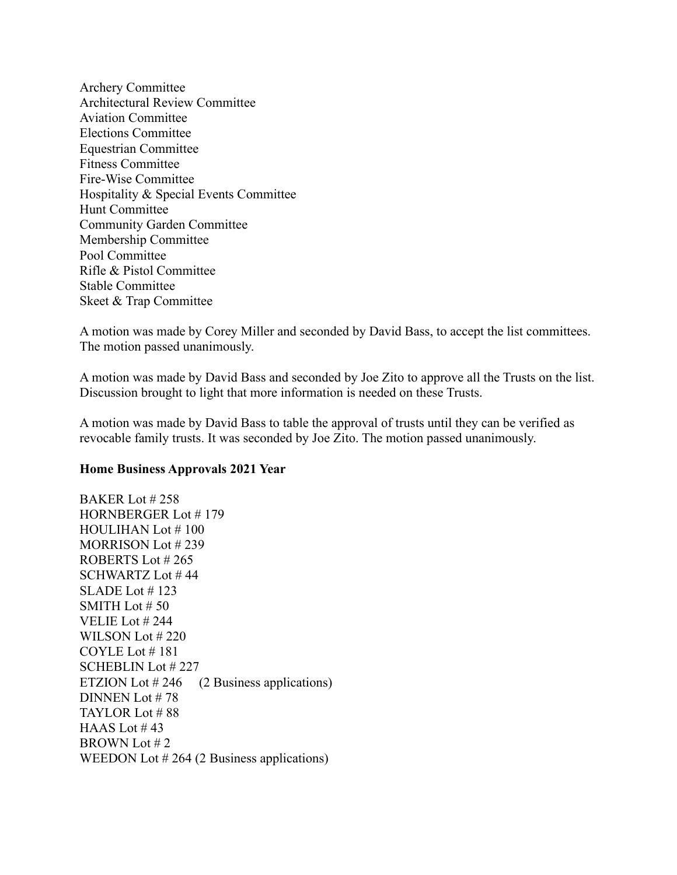Archery Committee Architectural Review Committee Aviation Committee Elections Committee Equestrian Committee Fitness Committee Fire-Wise Committee Hospitality & Special Events Committee Hunt Committee Community Garden Committee Membership Committee Pool Committee Rifle & Pistol Committee Stable Committee Skeet & Trap Committee

A motion was made by Corey Miller and seconded by David Bass, to accept the list committees. The motion passed unanimously.

A motion was made by David Bass and seconded by Joe Zito to approve all the Trusts on the list. Discussion brought to light that more information is needed on these Trusts.

A motion was made by David Bass to table the approval of trusts until they can be verified as revocable family trusts. It was seconded by Joe Zito. The motion passed unanimously.

#### **Home Business Approvals 2021 Year**

BAKER Lot # 258 HORNBERGER Lot # 179 HOULIHAN Lot # 100 MORRISON Lot # 239 ROBERTS Lot # 265 SCHWARTZ Lot # 44 SLADE Lot # 123 SMITH Lot # 50 VELIE Lot # 244 WILSON Lot # 220 COYLE Lot # 181 SCHEBLIN Lot # 227 ETZION Lot #246 (2 Business applications) DINNEN Lot # 78 TAYLOR Lot # 88 HAAS Lot  $#43$ BROWN Lot # 2 WEEDON Lot #264 (2 Business applications)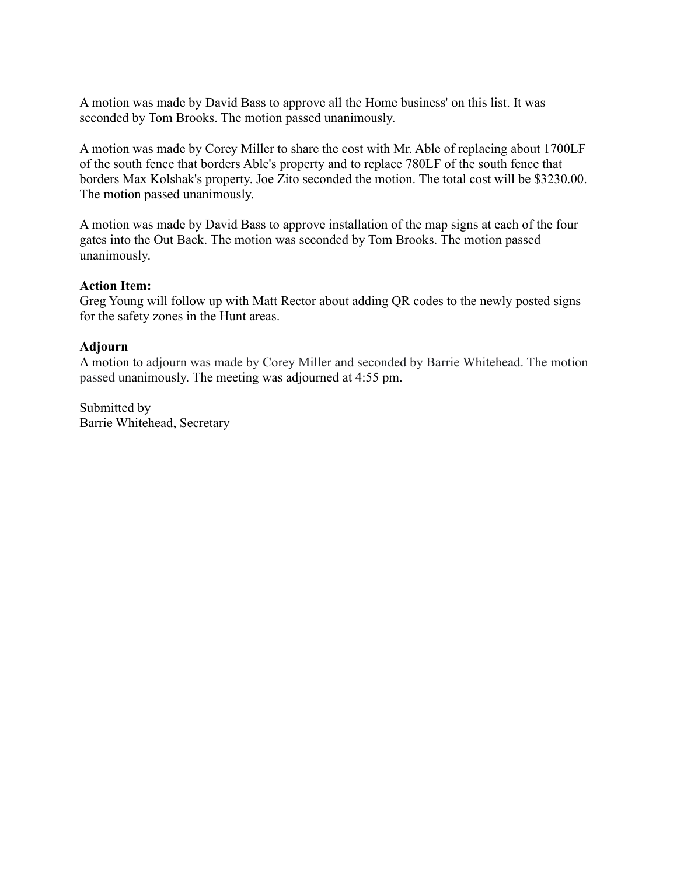A motion was made by David Bass to approve all the Home business' on this list. It was seconded by Tom Brooks. The motion passed unanimously.

A motion was made by Corey Miller to share the cost with Mr. Able of replacing about 1700LF of the south fence that borders Able's property and to replace 780LF of the south fence that borders Max Kolshak's property. Joe Zito seconded the motion. The total cost will be \$3230.00. The motion passed unanimously.

A motion was made by David Bass to approve installation of the map signs at each of the four gates into the Out Back. The motion was seconded by Tom Brooks. The motion passed unanimously.

#### **Action Item:**

Greg Young will follow up with Matt Rector about adding QR codes to the newly posted signs for the safety zones in the Hunt areas.

#### **Adjourn**

A motion to adjourn was made by Corey Miller and seconded by Barrie Whitehead. The motion passed unanimously. The meeting was adjourned at 4:55 pm.

Submitted by Barrie Whitehead, Secretary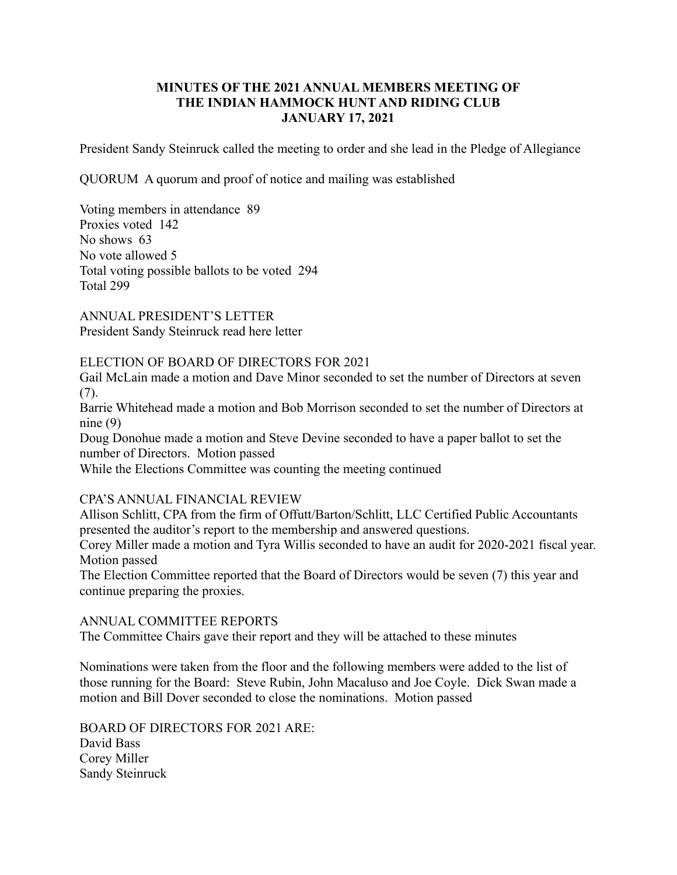#### **MINUTES OF THE 2021 ANNUAL MEMBERS MEETING OF THE INDIAN HAMMOCK HUNT AND RIDING CLUB JANUARY 17, 2021**

President Sandy Steinruck called the meeting to order and she lead in the Pledge of Allegiance

QUORUM A quorum and proof of notice and mailing was established

Voting members in attendance 89 Proxies voted 142 No shows 63 No vote allowed 5 Total voting possible ballots to be voted 294 Total 299

ANNUAL PRESIDENT'S LETTER President Sandy Steinruck read here letter

## ELECTION OF BOARD OF DIRECTORS FOR 2021

Gail McLain made a motion and Dave Minor seconded to set the number of Directors at seven (7).

Barrie Whitehead made a motion and Bob Morrison seconded to set the number of Directors at nine (9)

Doug Donohue made a motion and Steve Devine seconded to have a paper ballot to set the number of Directors. Motion passed

While the Elections Committee was counting the meeting continued

#### CPA'S ANNUAL FINANCIAL REVIEW

Allison Schlitt, CPA from the firm of Offutt/Barton/Schlitt, LLC Certified Public Accountants presented the auditor's report to the membership and answered questions.

Corey Miller made a motion and Tyra Willis seconded to have an audit for 2020-2021 fiscal year. Motion passed

The Election Committee reported that the Board of Directors would be seven (7) this year and continue preparing the proxies.

#### ANNUAL COMMITTEE REPORTS

The Committee Chairs gave their report and they will be attached to these minutes

Nominations were taken from the floor and the following members were added to the list of those running for the Board: Steve Rubin, John Macaluso and Joe Coyle. Dick Swan made a motion and Bill Dover seconded to close the nominations. Motion passed

BOARD OF DIRECTORS FOR 2021 ARE: David Bass Corey Miller Sandy Steinruck